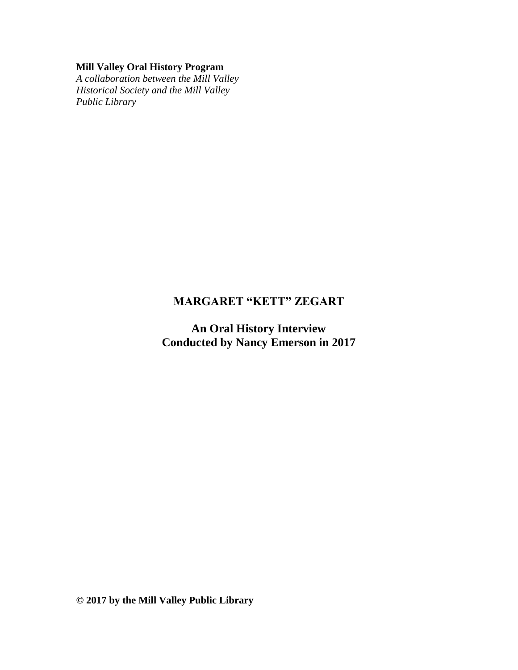# **Mill Valley Oral History Program**

*A collaboration between the Mill Valley Historical Society and the Mill Valley Public Library*

# **MARGARET "KETT" ZEGART**

**An Oral History Interview Conducted by Nancy Emerson in 2017**

**© 2017 by the Mill Valley Public Library**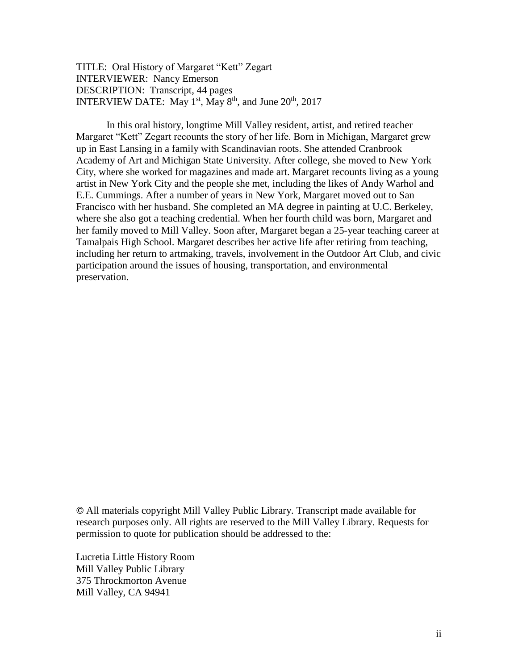TITLE: Oral History of Margaret "Kett" Zegart INTERVIEWER: Nancy Emerson DESCRIPTION: Transcript, 44 pages INTERVIEW DATE: May  $1<sup>st</sup>$ , May  $8<sup>th</sup>$ , and June  $20<sup>th</sup>$ ,  $2017$ 

In this oral history, longtime Mill Valley resident, artist, and retired teacher Margaret "Kett" Zegart recounts the story of her life. Born in Michigan, Margaret grew up in East Lansing in a family with Scandinavian roots. She attended Cranbrook Academy of Art and Michigan State University. After college, she moved to New York City, where she worked for magazines and made art. Margaret recounts living as a young artist in New York City and the people she met, including the likes of Andy Warhol and E.E. Cummings. After a number of years in New York, Margaret moved out to San Francisco with her husband. She completed an MA degree in painting at U.C. Berkeley, where she also got a teaching credential. When her fourth child was born, Margaret and her family moved to Mill Valley. Soon after, Margaret began a 25-year teaching career at Tamalpais High School. Margaret describes her active life after retiring from teaching, including her return to artmaking, travels, involvement in the Outdoor Art Club, and civic participation around the issues of housing, transportation, and environmental preservation.

**©** All materials copyright Mill Valley Public Library. Transcript made available for research purposes only. All rights are reserved to the Mill Valley Library. Requests for permission to quote for publication should be addressed to the:

Lucretia Little History Room Mill Valley Public Library 375 Throckmorton Avenue Mill Valley, CA 94941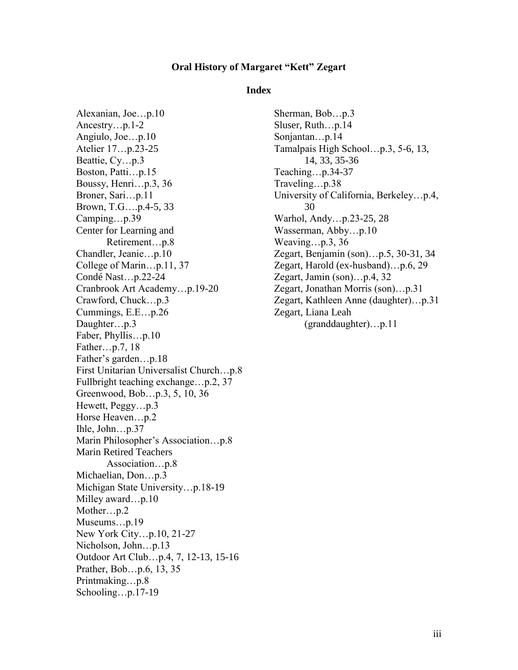#### **Oral History of Margaret "Kett" Zegart**

#### **Index**

Alexanian, Joe…p.10 Ancestry…p.1-2 Angiulo, Joe…p.10 Atelier 17…p.23-25 Beattie, Cy…p.3 Boston, Patti…p.15 Boussy, Henri…p.3, 36 Broner, Sari…p.11 Brown, T.G….p.4-5, 33 Camping…p.39 Center for Learning and Retirement…p.8 Chandler, Jeanie…p.10 College of Marin…p.11, 37 Condé Nast…p.22-24 Cranbrook Art Academy…p.19-20 Crawford, Chuck…p.3 Cummings, E.E…p.26 Daughter…p.3 Faber, Phyllis…p.10 Father…p.7, 18 Father's garden…p.18 First Unitarian Universalist Church…p.8 Fullbright teaching exchange…p.2, 37 Greenwood, Bob…p.3, 5, 10, 36 Hewett, Peggy…p.3 Horse Heaven…p.2 Ihle, John…p.37 Marin Philosopher's Association…p.8 Marin Retired Teachers Association…p.8 Michaelian, Don…p.3 Michigan State University…p.18-19 Milley award...p.10 Mother…p.2 Museums...p.19 New York City…p.10, 21-27 Nicholson, John…p.13 Outdoor Art Club…p.4, 7, 12-13, 15-16 Prather, Bob…p.6, 13, 35 Printmaking…p.8 Schooling…p.17-19

Sherman, Bob…p.3 Sluser, Ruth…p.14 Sonjantan…p.14 Tamalpais High School…p.3, 5-6, 13, 14, 33, 35-36 Teaching…p.34-37 Traveling…p.38 University of California, Berkeley…p.4, 30 Warhol, Andy…p.23-25, 28 Wasserman, Abby…p.10 Weaving…p.3, 36 Zegart, Benjamin (son)…p.5, 30-31, 34 Zegart, Harold (ex-husband)…p.6, 29 Zegart, Jamin (son)…p.4, 32 Zegart, Jonathan Morris (son)…p.31 Zegart, Kathleen Anne (daughter)…p.31 Zegart, Liana Leah (granddaughter)…p.11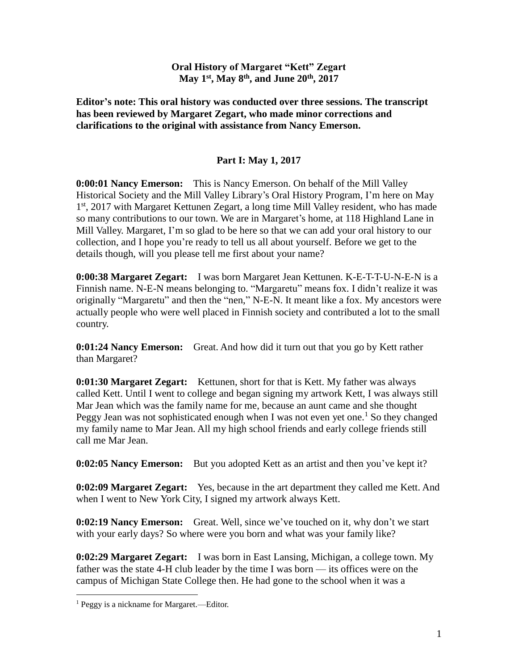#### **Oral History of Margaret "Kett" Zegart May 1st, May 8th, and June 20th, 2017**

**Editor's note: This oral history was conducted over three sessions. The transcript has been reviewed by Margaret Zegart, who made minor corrections and clarifications to the original with assistance from Nancy Emerson.**

# **Part I: May 1, 2017**

**0:00:01 Nancy Emerson:** This is Nancy Emerson. On behalf of the Mill Valley Historical Society and the Mill Valley Library's Oral History Program, I'm here on May 1<sup>st</sup>, 2017 with Margaret Kettunen Zegart, a long time Mill Valley resident, who has made so many contributions to our town. We are in Margaret's home, at 118 Highland Lane in Mill Valley. Margaret, I'm so glad to be here so that we can add your oral history to our collection, and I hope you're ready to tell us all about yourself. Before we get to the details though, will you please tell me first about your name?

**0:00:38 Margaret Zegart:** I was born Margaret Jean Kettunen. K-E-T-T-U-N-E-N is a Finnish name. N-E-N means belonging to. "Margaretu" means fox. I didn't realize it was originally "Margaretu" and then the "nen," N-E-N. It meant like a fox. My ancestors were actually people who were well placed in Finnish society and contributed a lot to the small country.

**0:01:24 Nancy Emerson:** Great. And how did it turn out that you go by Kett rather than Margaret?

**0:01:30 Margaret Zegart:** Kettunen, short for that is Kett. My father was always called Kett. Until I went to college and began signing my artwork Kett, I was always still Mar Jean which was the family name for me, because an aunt came and she thought Peggy Jean was not sophisticated enough when I was not even yet one.<sup>1</sup> So they changed my family name to Mar Jean. All my high school friends and early college friends still call me Mar Jean.

**0:02:05 Nancy Emerson:** But you adopted Kett as an artist and then you've kept it?

**0:02:09 Margaret Zegart:** Yes, because in the art department they called me Kett. And when I went to New York City, I signed my artwork always Kett.

**0:02:19 Nancy Emerson:** Great. Well, since we've touched on it, why don't we start with your early days? So where were you born and what was your family like?

**0:02:29 Margaret Zegart:** I was born in East Lansing, Michigan, a college town. My father was the state 4-H club leader by the time I was born — its offices were on the campus of Michigan State College then. He had gone to the school when it was a

 $\overline{a}$ 

<sup>&</sup>lt;sup>1</sup> Peggy is a nickname for Margaret.—Editor.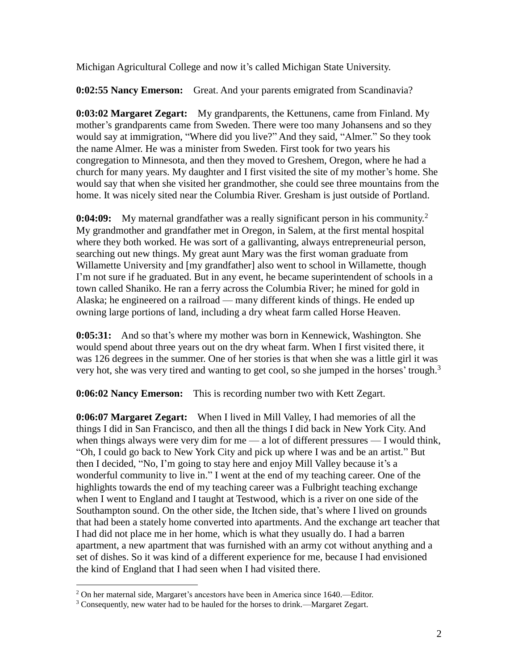Michigan Agricultural College and now it's called Michigan State University.

**0:02:55 Nancy Emerson:** Great. And your parents emigrated from Scandinavia?

**0:03:02 Margaret Zegart:** My grandparents, the Kettunens, came from Finland. My mother's grandparents came from Sweden. There were too many Johansens and so they would say at immigration, "Where did you live?" And they said, "Almer." So they took the name Almer. He was a minister from Sweden. First took for two years his congregation to Minnesota, and then they moved to Greshem, Oregon, where he had a church for many years. My daughter and I first visited the site of my mother's home. She would say that when she visited her grandmother, she could see three mountains from the home. It was nicely sited near the Columbia River. Gresham is just outside of Portland.

**0:04:09:** My maternal grandfather was a really significant person in his community.<sup>2</sup> My grandmother and grandfather met in Oregon, in Salem, at the first mental hospital where they both worked. He was sort of a gallivanting, always entrepreneurial person, searching out new things. My great aunt Mary was the first woman graduate from Willamette University and [my grandfather] also went to school in Willamette, though I'm not sure if he graduated. But in any event, he became superintendent of schools in a town called Shaniko. He ran a ferry across the Columbia River; he mined for gold in Alaska; he engineered on a railroad — many different kinds of things. He ended up owning large portions of land, including a dry wheat farm called Horse Heaven.

**0:05:31:** And so that's where my mother was born in Kennewick, Washington. She would spend about three years out on the dry wheat farm. When I first visited there, it was 126 degrees in the summer. One of her stories is that when she was a little girl it was very hot, she was very tired and wanting to get cool, so she jumped in the horses' trough.<sup>3</sup>

**0:06:02 Nancy Emerson:** This is recording number two with Kett Zegart.

**0:06:07 Margaret Zegart:** When I lived in Mill Valley, I had memories of all the things I did in San Francisco, and then all the things I did back in New York City. And when things always were very dim for me  $-$  a lot of different pressures  $-$  I would think, "Oh, I could go back to New York City and pick up where I was and be an artist." But then I decided, "No, I'm going to stay here and enjoy Mill Valley because it's a wonderful community to live in." I went at the end of my teaching career. One of the highlights towards the end of my teaching career was a Fulbright teaching exchange when I went to England and I taught at Testwood, which is a river on one side of the Southampton sound. On the other side, the Itchen side, that's where I lived on grounds that had been a stately home converted into apartments. And the exchange art teacher that I had did not place me in her home, which is what they usually do. I had a barren apartment, a new apartment that was furnished with an army cot without anything and a set of dishes. So it was kind of a different experience for me, because I had envisioned the kind of England that I had seen when I had visited there.

 $\overline{a}$ 

<sup>2</sup> On her maternal side, Margaret's ancestors have been in America since 1640.—Editor.

<sup>3</sup> Consequently, new water had to be hauled for the horses to drink.—Margaret Zegart.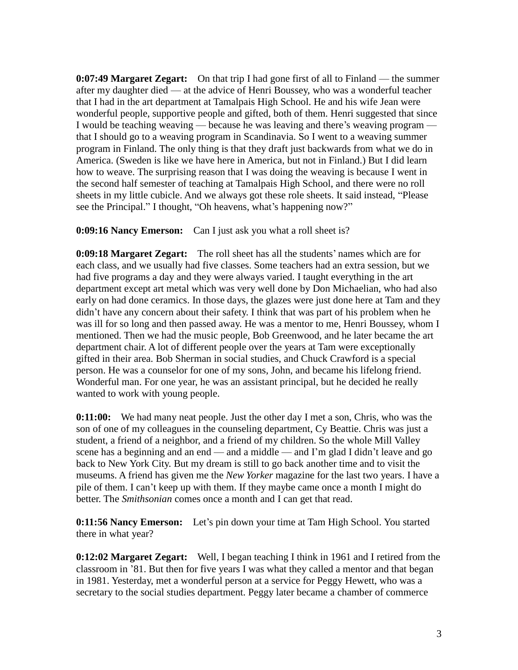**0:07:49 Margaret Zegart:** On that trip I had gone first of all to Finland — the summer after my daughter died — at the advice of Henri Boussey, who was a wonderful teacher that I had in the art department at Tamalpais High School. He and his wife Jean were wonderful people, supportive people and gifted, both of them. Henri suggested that since I would be teaching weaving — because he was leaving and there's weaving program that I should go to a weaving program in Scandinavia. So I went to a weaving summer program in Finland. The only thing is that they draft just backwards from what we do in America. (Sweden is like we have here in America, but not in Finland.) But I did learn how to weave. The surprising reason that I was doing the weaving is because I went in the second half semester of teaching at Tamalpais High School, and there were no roll sheets in my little cubicle. And we always got these role sheets. It said instead, "Please see the Principal." I thought, "Oh heavens, what's happening now?"

**0:09:16 Nancy Emerson:** Can I just ask you what a roll sheet is?

**0:09:18 Margaret Zegart:** The roll sheet has all the students' names which are for each class, and we usually had five classes. Some teachers had an extra session, but we had five programs a day and they were always varied. I taught everything in the art department except art metal which was very well done by Don Michaelian, who had also early on had done ceramics. In those days, the glazes were just done here at Tam and they didn't have any concern about their safety. I think that was part of his problem when he was ill for so long and then passed away. He was a mentor to me, Henri Boussey, whom I mentioned. Then we had the music people, Bob Greenwood, and he later became the art department chair. A lot of different people over the years at Tam were exceptionally gifted in their area. Bob Sherman in social studies, and Chuck Crawford is a special person. He was a counselor for one of my sons, John, and became his lifelong friend. Wonderful man. For one year, he was an assistant principal, but he decided he really wanted to work with young people.

**0:11:00:** We had many neat people. Just the other day I met a son, Chris, who was the son of one of my colleagues in the counseling department, Cy Beattie. Chris was just a student, a friend of a neighbor, and a friend of my children. So the whole Mill Valley scene has a beginning and an end — and a middle — and I'm glad I didn't leave and go back to New York City. But my dream is still to go back another time and to visit the museums. A friend has given me the *New Yorker* magazine for the last two years. I have a pile of them. I can't keep up with them. If they maybe came once a month I might do better. The *Smithsonian* comes once a month and I can get that read.

**0:11:56 Nancy Emerson:** Let's pin down your time at Tam High School. You started there in what year?

**0:12:02 Margaret Zegart:** Well, I began teaching I think in 1961 and I retired from the classroom in '81. But then for five years I was what they called a mentor and that began in 1981. Yesterday, met a wonderful person at a service for Peggy Hewett, who was a secretary to the social studies department. Peggy later became a chamber of commerce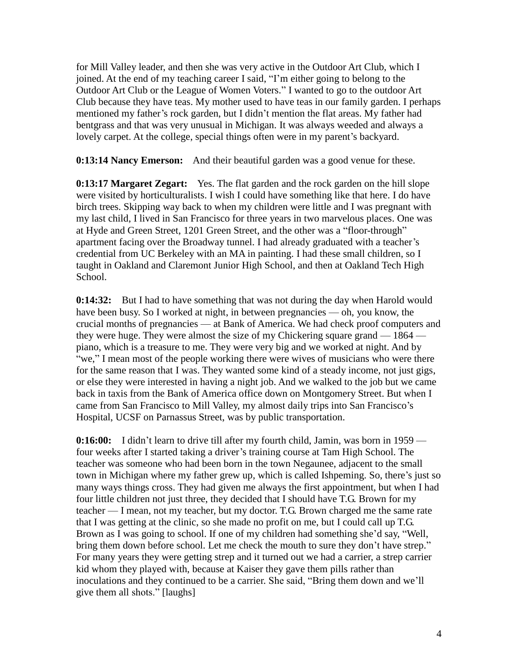for Mill Valley leader, and then she was very active in the Outdoor Art Club, which I joined. At the end of my teaching career I said, "I'm either going to belong to the Outdoor Art Club or the League of Women Voters." I wanted to go to the outdoor Art Club because they have teas. My mother used to have teas in our family garden. I perhaps mentioned my father's rock garden, but I didn't mention the flat areas. My father had bentgrass and that was very unusual in Michigan. It was always weeded and always a lovely carpet. At the college, special things often were in my parent's backyard.

**0:13:14 Nancy Emerson:** And their beautiful garden was a good venue for these.

**0:13:17 Margaret Zegart:** Yes. The flat garden and the rock garden on the hill slope were visited by horticulturalists. I wish I could have something like that here. I do have birch trees. Skipping way back to when my children were little and I was pregnant with my last child, I lived in San Francisco for three years in two marvelous places. One was at Hyde and Green Street, 1201 Green Street, and the other was a "floor-through" apartment facing over the Broadway tunnel. I had already graduated with a teacher's credential from UC Berkeley with an MA in painting. I had these small children, so I taught in Oakland and Claremont Junior High School, and then at Oakland Tech High School.

**0:14:32:** But I had to have something that was not during the day when Harold would have been busy. So I worked at night, in between pregnancies — oh, you know, the crucial months of pregnancies — at Bank of America. We had check proof computers and they were huge. They were almost the size of my Chickering square grand — 1864 piano, which is a treasure to me. They were very big and we worked at night. And by "we," I mean most of the people working there were wives of musicians who were there for the same reason that I was. They wanted some kind of a steady income, not just gigs, or else they were interested in having a night job. And we walked to the job but we came back in taxis from the Bank of America office down on Montgomery Street. But when I came from San Francisco to Mill Valley, my almost daily trips into San Francisco's Hospital, UCSF on Parnassus Street, was by public transportation.

**0:16:00:** I didn't learn to drive till after my fourth child, Jamin, was born in 1959 four weeks after I started taking a driver's training course at Tam High School. The teacher was someone who had been born in the town Negaunee, adjacent to the small town in Michigan where my father grew up, which is called Ishpeming. So, there's just so many ways things cross. They had given me always the first appointment, but when I had four little children not just three, they decided that I should have T.G. Brown for my teacher — I mean, not my teacher, but my doctor. T.G. Brown charged me the same rate that I was getting at the clinic, so she made no profit on me, but I could call up T.G. Brown as I was going to school. If one of my children had something she'd say, "Well, bring them down before school. Let me check the mouth to sure they don't have strep." For many years they were getting strep and it turned out we had a carrier, a strep carrier kid whom they played with, because at Kaiser they gave them pills rather than inoculations and they continued to be a carrier. She said, "Bring them down and we'll give them all shots." [laughs]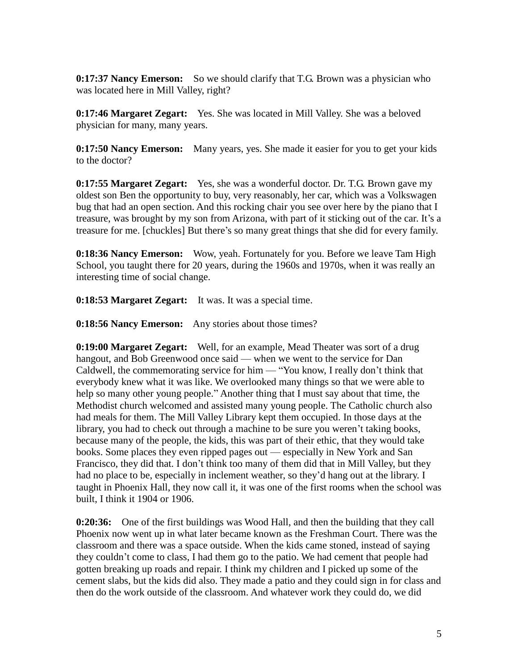**0:17:37 Nancy Emerson:** So we should clarify that T.G. Brown was a physician who was located here in Mill Valley, right?

**0:17:46 Margaret Zegart:** Yes. She was located in Mill Valley. She was a beloved physician for many, many years.

**0:17:50 Nancy Emerson:** Many years, yes. She made it easier for you to get your kids to the doctor?

**0:17:55 Margaret Zegart:** Yes, she was a wonderful doctor. Dr. T.G. Brown gave my oldest son Ben the opportunity to buy, very reasonably, her car, which was a Volkswagen bug that had an open section. And this rocking chair you see over here by the piano that I treasure, was brought by my son from Arizona, with part of it sticking out of the car. It's a treasure for me. [chuckles] But there's so many great things that she did for every family.

**0:18:36 Nancy Emerson:** Wow, yeah. Fortunately for you. Before we leave Tam High School, you taught there for 20 years, during the 1960s and 1970s, when it was really an interesting time of social change.

**0:18:53 Margaret Zegart:** It was. It was a special time.

**0:18:56 Nancy Emerson:** Any stories about those times?

**0:19:00 Margaret Zegart:** Well, for an example, Mead Theater was sort of a drug hangout, and Bob Greenwood once said — when we went to the service for Dan Caldwell, the commemorating service for him — "You know, I really don't think that everybody knew what it was like. We overlooked many things so that we were able to help so many other young people." Another thing that I must say about that time, the Methodist church welcomed and assisted many young people. The Catholic church also had meals for them. The Mill Valley Library kept them occupied. In those days at the library, you had to check out through a machine to be sure you weren't taking books, because many of the people, the kids, this was part of their ethic, that they would take books. Some places they even ripped pages out — especially in New York and San Francisco, they did that. I don't think too many of them did that in Mill Valley, but they had no place to be, especially in inclement weather, so they'd hang out at the library. I taught in Phoenix Hall, they now call it, it was one of the first rooms when the school was built, I think it 1904 or 1906.

**0:20:36:** One of the first buildings was Wood Hall, and then the building that they call Phoenix now went up in what later became known as the Freshman Court. There was the classroom and there was a space outside. When the kids came stoned, instead of saying they couldn't come to class, I had them go to the patio. We had cement that people had gotten breaking up roads and repair. I think my children and I picked up some of the cement slabs, but the kids did also. They made a patio and they could sign in for class and then do the work outside of the classroom. And whatever work they could do, we did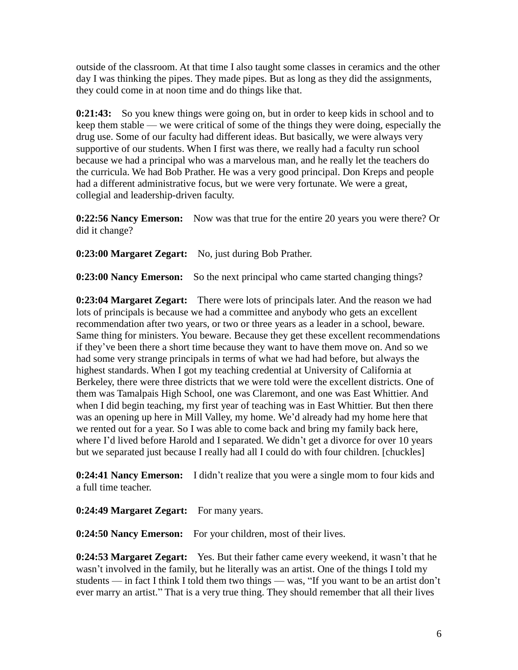outside of the classroom. At that time I also taught some classes in ceramics and the other day I was thinking the pipes. They made pipes. But as long as they did the assignments, they could come in at noon time and do things like that.

**0:21:43:** So you knew things were going on, but in order to keep kids in school and to keep them stable — we were critical of some of the things they were doing, especially the drug use. Some of our faculty had different ideas. But basically, we were always very supportive of our students. When I first was there, we really had a faculty run school because we had a principal who was a marvelous man, and he really let the teachers do the curricula. We had Bob Prather. He was a very good principal. Don Kreps and people had a different administrative focus, but we were very fortunate. We were a great, collegial and leadership-driven faculty.

**0:22:56 Nancy Emerson:** Now was that true for the entire 20 years you were there? Or did it change?

**0:23:00 Margaret Zegart:** No, just during Bob Prather.

**0:23:00 Nancy Emerson:** So the next principal who came started changing things?

**0:23:04 Margaret Zegart:** There were lots of principals later. And the reason we had lots of principals is because we had a committee and anybody who gets an excellent recommendation after two years, or two or three years as a leader in a school, beware. Same thing for ministers. You beware. Because they get these excellent recommendations if they've been there a short time because they want to have them move on. And so we had some very strange principals in terms of what we had had before, but always the highest standards. When I got my teaching credential at University of California at Berkeley, there were three districts that we were told were the excellent districts. One of them was Tamalpais High School, one was Claremont, and one was East Whittier. And when I did begin teaching, my first year of teaching was in East Whittier. But then there was an opening up here in Mill Valley, my home. We'd already had my home here that we rented out for a year. So I was able to come back and bring my family back here, where I'd lived before Harold and I separated. We didn't get a divorce for over 10 years but we separated just because I really had all I could do with four children. [chuckles]

**0:24:41 Nancy Emerson:** I didn't realize that you were a single mom to four kids and a full time teacher.

**0:24:49 Margaret Zegart:** For many years.

**0:24:50 Nancy Emerson:** For your children, most of their lives.

**0:24:53 Margaret Zegart:** Yes. But their father came every weekend, it wasn't that he wasn't involved in the family, but he literally was an artist. One of the things I told my students — in fact I think I told them two things — was, "If you want to be an artist don't ever marry an artist." That is a very true thing. They should remember that all their lives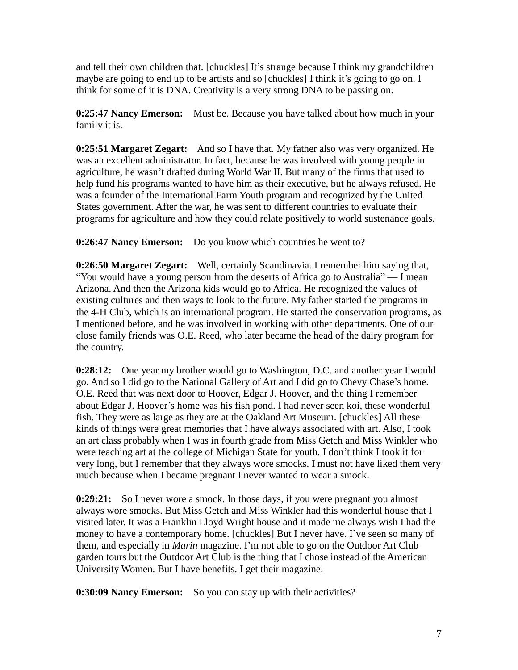and tell their own children that. [chuckles] It's strange because I think my grandchildren maybe are going to end up to be artists and so [chuckles] I think it's going to go on. I think for some of it is DNA. Creativity is a very strong DNA to be passing on.

**0:25:47 Nancy Emerson:** Must be. Because you have talked about how much in your family it is.

**0:25:51 Margaret Zegart:** And so I have that. My father also was very organized. He was an excellent administrator. In fact, because he was involved with young people in agriculture, he wasn't drafted during World War II. But many of the firms that used to help fund his programs wanted to have him as their executive, but he always refused. He was a founder of the International Farm Youth program and recognized by the United States government. After the war, he was sent to different countries to evaluate their programs for agriculture and how they could relate positively to world sustenance goals.

**0:26:47 Nancy Emerson:** Do you know which countries he went to?

**0:26:50 Margaret Zegart:** Well, certainly Scandinavia. I remember him saying that, "You would have a young person from the deserts of Africa go to Australia" — I mean Arizona. And then the Arizona kids would go to Africa. He recognized the values of existing cultures and then ways to look to the future. My father started the programs in the 4-H Club, which is an international program. He started the conservation programs, as I mentioned before, and he was involved in working with other departments. One of our close family friends was O.E. Reed, who later became the head of the dairy program for the country.

**0:28:12:** One year my brother would go to Washington, D.C. and another year I would go. And so I did go to the National Gallery of Art and I did go to Chevy Chase's home. O.E. Reed that was next door to Hoover, Edgar J. Hoover, and the thing I remember about Edgar J. Hoover's home was his fish pond. I had never seen koi, these wonderful fish. They were as large as they are at the Oakland Art Museum. [chuckles] All these kinds of things were great memories that I have always associated with art. Also, I took an art class probably when I was in fourth grade from Miss Getch and Miss Winkler who were teaching art at the college of Michigan State for youth. I don't think I took it for very long, but I remember that they always wore smocks. I must not have liked them very much because when I became pregnant I never wanted to wear a smock.

**0:29:21:** So I never wore a smock. In those days, if you were pregnant you almost always wore smocks. But Miss Getch and Miss Winkler had this wonderful house that I visited later. It was a Franklin Lloyd Wright house and it made me always wish I had the money to have a contemporary home. [chuckles] But I never have. I've seen so many of them, and especially in *Marin* magazine. I'm not able to go on the Outdoor Art Club garden tours but the Outdoor Art Club is the thing that I chose instead of the American University Women. But I have benefits. I get their magazine.

**0:30:09 Nancy Emerson:** So you can stay up with their activities?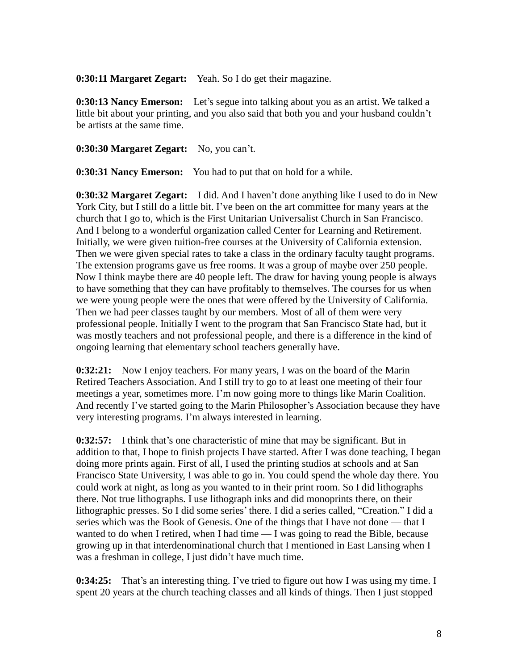**0:30:11 Margaret Zegart:** Yeah. So I do get their magazine.

**0:30:13 Nancy Emerson:** Let's segue into talking about you as an artist. We talked a little bit about your printing, and you also said that both you and your husband couldn't be artists at the same time.

**0:30:30 Margaret Zegart:** No, you can't.

**0:30:31 Nancy Emerson:** You had to put that on hold for a while.

**0:30:32 Margaret Zegart:** I did. And I haven't done anything like I used to do in New York City, but I still do a little bit. I've been on the art committee for many years at the church that I go to, which is the First Unitarian Universalist Church in San Francisco. And I belong to a wonderful organization called Center for Learning and Retirement. Initially, we were given tuition-free courses at the University of California extension. Then we were given special rates to take a class in the ordinary faculty taught programs. The extension programs gave us free rooms. It was a group of maybe over 250 people. Now I think maybe there are 40 people left. The draw for having young people is always to have something that they can have profitably to themselves. The courses for us when we were young people were the ones that were offered by the University of California. Then we had peer classes taught by our members. Most of all of them were very professional people. Initially I went to the program that San Francisco State had, but it was mostly teachers and not professional people, and there is a difference in the kind of ongoing learning that elementary school teachers generally have.

**0:32:21:** Now I enjoy teachers. For many years, I was on the board of the Marin Retired Teachers Association. And I still try to go to at least one meeting of their four meetings a year, sometimes more. I'm now going more to things like Marin Coalition. And recently I've started going to the Marin Philosopher's Association because they have very interesting programs. I'm always interested in learning.

**0:32:57:** I think that's one characteristic of mine that may be significant. But in addition to that, I hope to finish projects I have started. After I was done teaching, I began doing more prints again. First of all, I used the printing studios at schools and at San Francisco State University, I was able to go in. You could spend the whole day there. You could work at night, as long as you wanted to in their print room. So I did lithographs there. Not true lithographs. I use lithograph inks and did monoprints there, on their lithographic presses. So I did some series' there. I did a series called, "Creation." I did a series which was the Book of Genesis. One of the things that I have not done — that I wanted to do when I retired, when I had time — I was going to read the Bible, because growing up in that interdenominational church that I mentioned in East Lansing when I was a freshman in college, I just didn't have much time.

**0:34:25:** That's an interesting thing. I've tried to figure out how I was using my time. I spent 20 years at the church teaching classes and all kinds of things. Then I just stopped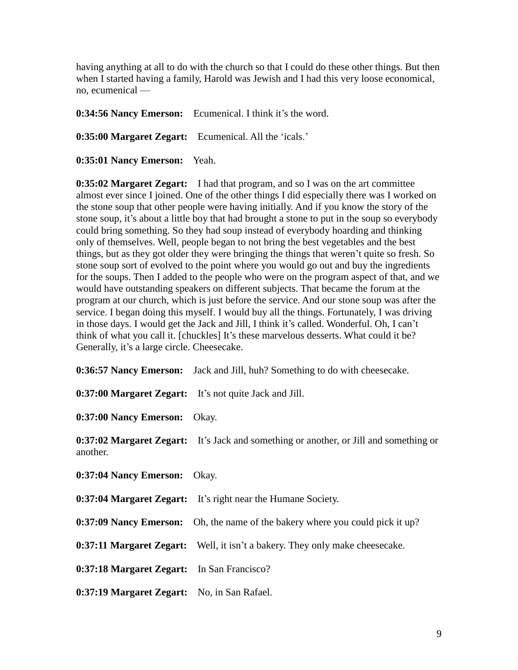having anything at all to do with the church so that I could do these other things. But then when I started having a family, Harold was Jewish and I had this very loose economical, no, ecumenical —

**0:34:56 Nancy Emerson:** Ecumenical. I think it's the word. **0:35:00 Margaret Zegart:** Ecumenical. All the 'icals.'

**0:35:01 Nancy Emerson:** Yeah.

**0:35:02 Margaret Zegart:** I had that program, and so I was on the art committee almost ever since I joined. One of the other things I did especially there was I worked on the stone soup that other people were having initially. And if you know the story of the stone soup, it's about a little boy that had brought a stone to put in the soup so everybody could bring something. So they had soup instead of everybody hoarding and thinking only of themselves. Well, people began to not bring the best vegetables and the best things, but as they got older they were bringing the things that weren't quite so fresh. So stone soup sort of evolved to the point where you would go out and buy the ingredients for the soups. Then I added to the people who were on the program aspect of that, and we would have outstanding speakers on different subjects. That became the forum at the program at our church, which is just before the service. And our stone soup was after the service. I began doing this myself. I would buy all the things. Fortunately, I was driving in those days. I would get the Jack and Jill, I think it's called. Wonderful. Oh, I can't think of what you call it. [chuckles] It's these marvelous desserts. What could it be? Generally, it's a large circle. Cheesecake.

|                                                        | 0:36:57 Nancy Emerson: Jack and Jill, huh? Something to do with cheesecake.           |
|--------------------------------------------------------|---------------------------------------------------------------------------------------|
| 0:37:00 Margaret Zegart: It's not quite Jack and Jill. |                                                                                       |
| 0:37:00 Nancy Emerson: Okay.                           |                                                                                       |
| another.                                               | 0:37:02 Margaret Zegart: It's Jack and something or another, or Jill and something or |
| 0:37:04 Nancy Emerson:                                 | Okay.                                                                                 |
|                                                        | 0:37:04 Margaret Zegart: It's right near the Humane Society.                          |
|                                                        | 0:37:09 Nancy Emerson: Oh, the name of the bakery where you could pick it up?         |
|                                                        | <b>0:37:11 Margaret Zegart:</b> Well, it isn't a bakery. They only make cheesecake.   |
| 0:37:18 Margaret Zegart: In San Francisco?             |                                                                                       |
| 0:37:19 Margaret Zegart: No, in San Rafael.            |                                                                                       |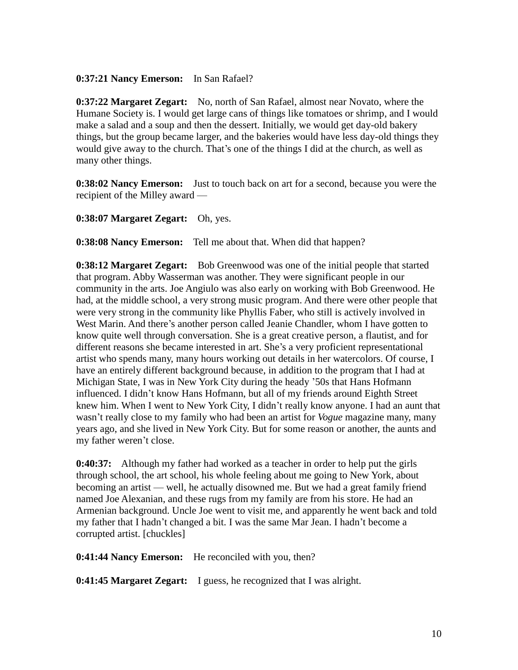#### **0:37:21 Nancy Emerson:** In San Rafael?

**0:37:22 Margaret Zegart:** No, north of San Rafael, almost near Novato, where the Humane Society is. I would get large cans of things like tomatoes or shrimp, and I would make a salad and a soup and then the dessert. Initially, we would get day-old bakery things, but the group became larger, and the bakeries would have less day-old things they would give away to the church. That's one of the things I did at the church, as well as many other things.

**0:38:02 Nancy Emerson:** Just to touch back on art for a second, because you were the recipient of the Milley award —

#### **0:38:07 Margaret Zegart:** Oh, yes.

**0:38:08 Nancy Emerson:** Tell me about that. When did that happen?

**0:38:12 Margaret Zegart:** Bob Greenwood was one of the initial people that started that program. Abby Wasserman was another. They were significant people in our community in the arts. Joe Angiulo was also early on working with Bob Greenwood. He had, at the middle school, a very strong music program. And there were other people that were very strong in the community like Phyllis Faber, who still is actively involved in West Marin. And there's another person called Jeanie Chandler, whom I have gotten to know quite well through conversation. She is a great creative person, a flautist, and for different reasons she became interested in art. She's a very proficient representational artist who spends many, many hours working out details in her watercolors. Of course, I have an entirely different background because, in addition to the program that I had at Michigan State, I was in New York City during the heady '50s that Hans Hofmann influenced. I didn't know Hans Hofmann, but all of my friends around Eighth Street knew him. When I went to New York City, I didn't really know anyone. I had an aunt that wasn't really close to my family who had been an artist for *Vogue* magazine many, many years ago, and she lived in New York City. But for some reason or another, the aunts and my father weren't close.

**0:40:37:** Although my father had worked as a teacher in order to help put the girls through school, the art school, his whole feeling about me going to New York, about becoming an artist — well, he actually disowned me. But we had a great family friend named Joe Alexanian, and these rugs from my family are from his store. He had an Armenian background. Uncle Joe went to visit me, and apparently he went back and told my father that I hadn't changed a bit. I was the same Mar Jean. I hadn't become a corrupted artist. [chuckles]

**0:41:44 Nancy Emerson:** He reconciled with you, then?

**0:41:45 Margaret Zegart:** I guess, he recognized that I was alright.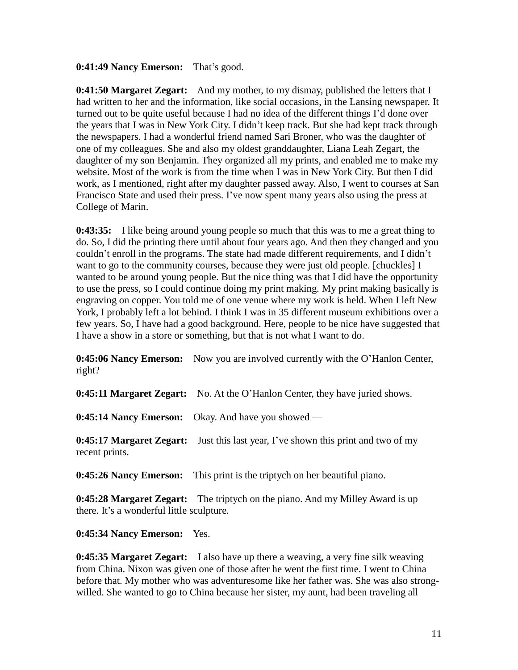#### **0:41:49 Nancy Emerson:** That's good.

**0:41:50 Margaret Zegart:** And my mother, to my dismay, published the letters that I had written to her and the information, like social occasions, in the Lansing newspaper. It turned out to be quite useful because I had no idea of the different things I'd done over the years that I was in New York City. I didn't keep track. But she had kept track through the newspapers. I had a wonderful friend named Sari Broner, who was the daughter of one of my colleagues. She and also my oldest granddaughter, Liana Leah Zegart, the daughter of my son Benjamin. They organized all my prints, and enabled me to make my website. Most of the work is from the time when I was in New York City. But then I did work, as I mentioned, right after my daughter passed away. Also, I went to courses at San Francisco State and used their press. I've now spent many years also using the press at College of Marin.

**0:43:35:** I like being around young people so much that this was to me a great thing to do. So, I did the printing there until about four years ago. And then they changed and you couldn't enroll in the programs. The state had made different requirements, and I didn't want to go to the community courses, because they were just old people. [chuckles] I wanted to be around young people. But the nice thing was that I did have the opportunity to use the press, so I could continue doing my print making. My print making basically is engraving on copper. You told me of one venue where my work is held. When I left New York, I probably left a lot behind. I think I was in 35 different museum exhibitions over a few years. So, I have had a good background. Here, people to be nice have suggested that I have a show in a store or something, but that is not what I want to do.

**0:45:06 Nancy Emerson:** Now you are involved currently with the O'Hanlon Center, right?

**0:45:11 Margaret Zegart:** No. At the O'Hanlon Center, they have juried shows.

**0:45:14 Nancy Emerson:** Okay. And have you showed —

**0:45:17 Margaret Zegart:** Just this last year, I've shown this print and two of my recent prints.

**0:45:26 Nancy Emerson:** This print is the triptych on her beautiful piano.

**0:45:28 Margaret Zegart:** The triptych on the piano. And my Milley Award is up there. It's a wonderful little sculpture.

#### **0:45:34 Nancy Emerson:** Yes.

**0:45:35 Margaret Zegart:** I also have up there a weaving, a very fine silk weaving from China. Nixon was given one of those after he went the first time. I went to China before that. My mother who was adventuresome like her father was. She was also strongwilled. She wanted to go to China because her sister, my aunt, had been traveling all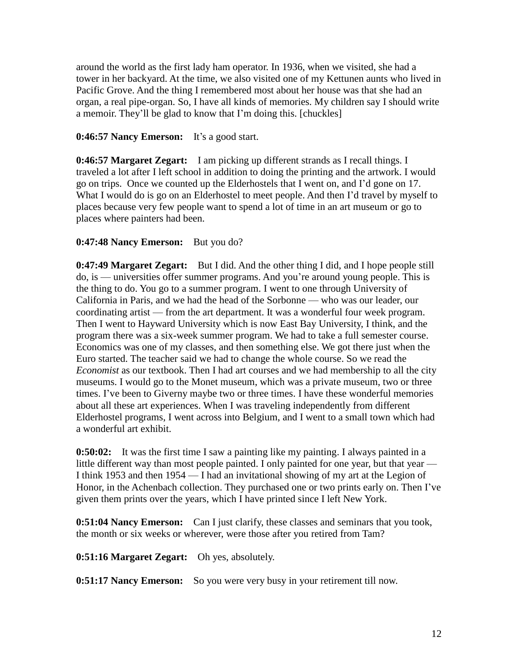around the world as the first lady ham operator. In 1936, when we visited, she had a tower in her backyard. At the time, we also visited one of my Kettunen aunts who lived in Pacific Grove. And the thing I remembered most about her house was that she had an organ, a real pipe-organ. So, I have all kinds of memories. My children say I should write a memoir. They'll be glad to know that I'm doing this. [chuckles]

#### **0:46:57 Nancy Emerson:** It's a good start.

**0:46:57 Margaret Zegart:** I am picking up different strands as I recall things. I traveled a lot after I left school in addition to doing the printing and the artwork. I would go on trips. Once we counted up the Elderhostels that I went on, and I'd gone on 17. What I would do is go on an Elderhostel to meet people. And then I'd travel by myself to places because very few people want to spend a lot of time in an art museum or go to places where painters had been.

#### **0:47:48 Nancy Emerson:** But you do?

**0:47:49 Margaret Zegart:** But I did. And the other thing I did, and I hope people still do, is — universities offer summer programs. And you're around young people. This is the thing to do. You go to a summer program. I went to one through University of California in Paris, and we had the head of the Sorbonne — who was our leader, our coordinating artist — from the art department. It was a wonderful four week program. Then I went to Hayward University which is now East Bay University, I think, and the program there was a six-week summer program. We had to take a full semester course. Economics was one of my classes, and then something else. We got there just when the Euro started. The teacher said we had to change the whole course. So we read the *Economist* as our textbook. Then I had art courses and we had membership to all the city museums. I would go to the Monet museum, which was a private museum, two or three times. I've been to Giverny maybe two or three times. I have these wonderful memories about all these art experiences. When I was traveling independently from different Elderhostel programs, I went across into Belgium, and I went to a small town which had a wonderful art exhibit.

**0:50:02:** It was the first time I saw a painting like my painting. I always painted in a little different way than most people painted. I only painted for one year, but that year – I think 1953 and then 1954 — I had an invitational showing of my art at the Legion of Honor, in the Achenbach collection. They purchased one or two prints early on. Then I've given them prints over the years, which I have printed since I left New York.

**0:51:04 Nancy Emerson:** Can I just clarify, these classes and seminars that you took, the month or six weeks or wherever, were those after you retired from Tam?

**0:51:16 Margaret Zegart:** Oh yes, absolutely.

**0:51:17 Nancy Emerson:** So you were very busy in your retirement till now.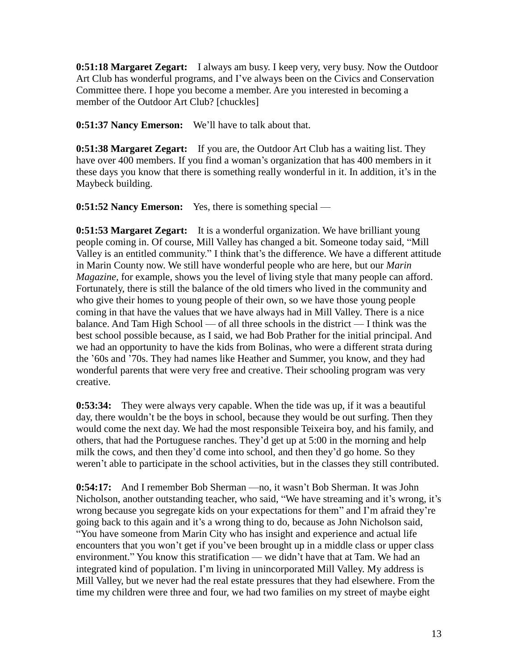**0:51:18 Margaret Zegart:** I always am busy. I keep very, very busy. Now the Outdoor Art Club has wonderful programs, and I've always been on the Civics and Conservation Committee there. I hope you become a member. Are you interested in becoming a member of the Outdoor Art Club? [chuckles]

**0:51:37 Nancy Emerson:** We'll have to talk about that.

**0:51:38 Margaret Zegart:** If you are, the Outdoor Art Club has a waiting list. They have over 400 members. If you find a woman's organization that has 400 members in it these days you know that there is something really wonderful in it. In addition, it's in the Maybeck building.

**0:51:52 Nancy Emerson:** Yes, there is something special —

**0:51:53 Margaret Zegart:** It is a wonderful organization. We have brilliant young people coming in. Of course, Mill Valley has changed a bit. Someone today said, "Mill Valley is an entitled community." I think that's the difference. We have a different attitude in Marin County now. We still have wonderful people who are here, but our *Marin Magazine*, for example, shows you the level of living style that many people can afford. Fortunately, there is still the balance of the old timers who lived in the community and who give their homes to young people of their own, so we have those young people coming in that have the values that we have always had in Mill Valley. There is a nice balance. And Tam High School — of all three schools in the district — I think was the best school possible because, as I said, we had Bob Prather for the initial principal. And we had an opportunity to have the kids from Bolinas, who were a different strata during the '60s and '70s. They had names like Heather and Summer, you know, and they had wonderful parents that were very free and creative. Their schooling program was very creative.

**0:53:34:** They were always very capable. When the tide was up, if it was a beautiful day, there wouldn't be the boys in school, because they would be out surfing. Then they would come the next day. We had the most responsible Teixeira boy, and his family, and others, that had the Portuguese ranches. They'd get up at 5:00 in the morning and help milk the cows, and then they'd come into school, and then they'd go home. So they weren't able to participate in the school activities, but in the classes they still contributed.

**0:54:17:** And I remember Bob Sherman —no, it wasn't Bob Sherman. It was John Nicholson, another outstanding teacher, who said, "We have streaming and it's wrong, it's wrong because you segregate kids on your expectations for them" and I'm afraid they're going back to this again and it's a wrong thing to do, because as John Nicholson said, "You have someone from Marin City who has insight and experience and actual life encounters that you won't get if you've been brought up in a middle class or upper class environment." You know this stratification — we didn't have that at Tam. We had an integrated kind of population. I'm living in unincorporated Mill Valley. My address is Mill Valley, but we never had the real estate pressures that they had elsewhere. From the time my children were three and four, we had two families on my street of maybe eight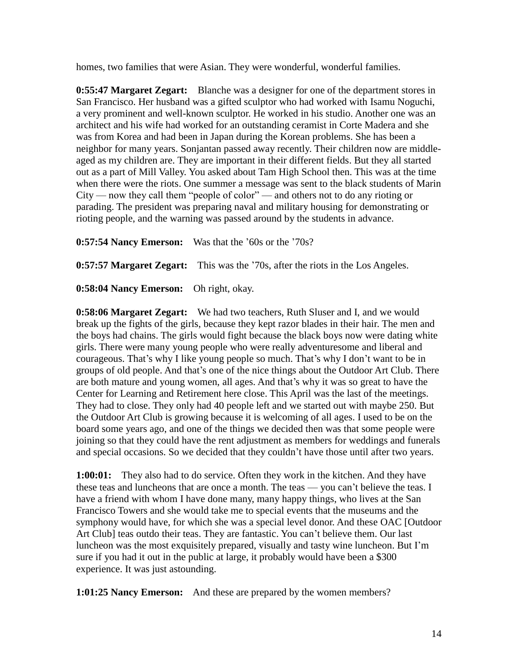homes, two families that were Asian. They were wonderful, wonderful families.

**0:55:47 Margaret Zegart:** Blanche was a designer for one of the department stores in San Francisco. Her husband was a gifted sculptor who had worked with Isamu Noguchi, a very prominent and well-known sculptor. He worked in his studio. Another one was an architect and his wife had worked for an outstanding ceramist in Corte Madera and she was from Korea and had been in Japan during the Korean problems. She has been a neighbor for many years. Sonjantan passed away recently. Their children now are middleaged as my children are. They are important in their different fields. But they all started out as a part of Mill Valley. You asked about Tam High School then. This was at the time when there were the riots. One summer a message was sent to the black students of Marin City — now they call them "people of color" — and others not to do any rioting or parading. The president was preparing naval and military housing for demonstrating or rioting people, and the warning was passed around by the students in advance.

**0:57:54 Nancy Emerson:** Was that the '60s or the '70s?

**0:57:57 Margaret Zegart:** This was the '70s, after the riots in the Los Angeles.

**0:58:04 Nancy Emerson:** Oh right, okay.

**0:58:06 Margaret Zegart:** We had two teachers, Ruth Sluser and I, and we would break up the fights of the girls, because they kept razor blades in their hair. The men and the boys had chains. The girls would fight because the black boys now were dating white girls. There were many young people who were really adventuresome and liberal and courageous. That's why I like young people so much. That's why I don't want to be in groups of old people. And that's one of the nice things about the Outdoor Art Club. There are both mature and young women, all ages. And that's why it was so great to have the Center for Learning and Retirement here close. This April was the last of the meetings. They had to close. They only had 40 people left and we started out with maybe 250. But the Outdoor Art Club is growing because it is welcoming of all ages. I used to be on the board some years ago, and one of the things we decided then was that some people were joining so that they could have the rent adjustment as members for weddings and funerals and special occasions. So we decided that they couldn't have those until after two years.

**1:00:01:** They also had to do service. Often they work in the kitchen. And they have these teas and luncheons that are once a month. The teas — you can't believe the teas. I have a friend with whom I have done many, many happy things, who lives at the San Francisco Towers and she would take me to special events that the museums and the symphony would have, for which she was a special level donor. And these OAC [Outdoor Art Club] teas outdo their teas. They are fantastic. You can't believe them. Our last luncheon was the most exquisitely prepared, visually and tasty wine luncheon. But I'm sure if you had it out in the public at large, it probably would have been a \$300 experience. It was just astounding.

**1:01:25 Nancy Emerson:** And these are prepared by the women members?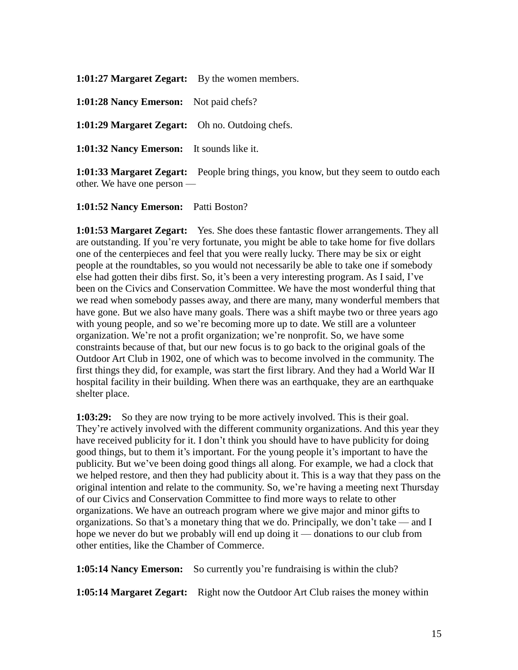**1:01:27 Margaret Zegart:** By the women members.

**1:01:28 Nancy Emerson:** Not paid chefs?

**1:01:29 Margaret Zegart:** Oh no. Outdoing chefs.

**1:01:32 Nancy Emerson:** It sounds like it.

**1:01:33 Margaret Zegart:** People bring things, you know, but they seem to outdo each other. We have one person —

**1:01:52 Nancy Emerson:** Patti Boston?

**1:01:53 Margaret Zegart:** Yes. She does these fantastic flower arrangements. They all are outstanding. If you're very fortunate, you might be able to take home for five dollars one of the centerpieces and feel that you were really lucky. There may be six or eight people at the roundtables, so you would not necessarily be able to take one if somebody else had gotten their dibs first. So, it's been a very interesting program. As I said, I've been on the Civics and Conservation Committee. We have the most wonderful thing that we read when somebody passes away, and there are many, many wonderful members that have gone. But we also have many goals. There was a shift maybe two or three years ago with young people, and so we're becoming more up to date. We still are a volunteer organization. We're not a profit organization; we're nonprofit. So, we have some constraints because of that, but our new focus is to go back to the original goals of the Outdoor Art Club in 1902, one of which was to become involved in the community. The first things they did, for example, was start the first library. And they had a World War II hospital facility in their building. When there was an earthquake, they are an earthquake shelter place.

**1:03:29:** So they are now trying to be more actively involved. This is their goal. They're actively involved with the different community organizations. And this year they have received publicity for it. I don't think you should have to have publicity for doing good things, but to them it's important. For the young people it's important to have the publicity. But we've been doing good things all along. For example, we had a clock that we helped restore, and then they had publicity about it. This is a way that they pass on the original intention and relate to the community. So, we're having a meeting next Thursday of our Civics and Conservation Committee to find more ways to relate to other organizations. We have an outreach program where we give major and minor gifts to organizations. So that's a monetary thing that we do. Principally, we don't take — and I hope we never do but we probably will end up doing it — donations to our club from other entities, like the Chamber of Commerce.

**1:05:14 Nancy Emerson:** So currently you're fundraising is within the club?

**1:05:14 Margaret Zegart:** Right now the Outdoor Art Club raises the money within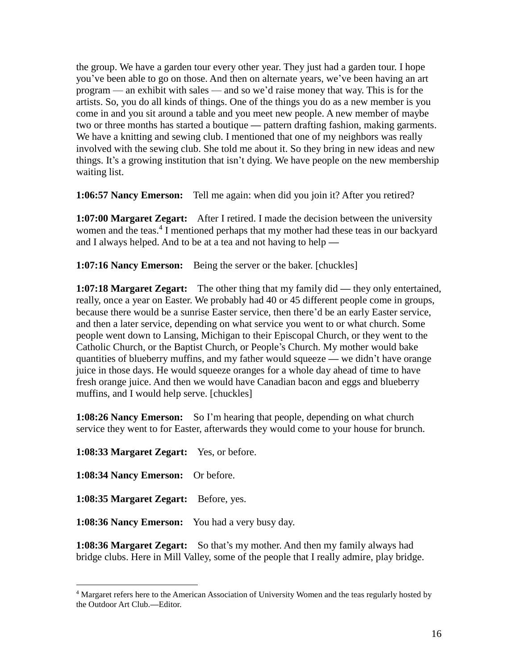the group. We have a garden tour every other year. They just had a garden tour. I hope you've been able to go on those. And then on alternate years, we've been having an art program — an exhibit with sales — and so we'd raise money that way. This is for the artists. So, you do all kinds of things. One of the things you do as a new member is you come in and you sit around a table and you meet new people. A new member of maybe two or three months has started a boutique **—** pattern drafting fashion, making garments. We have a knitting and sewing club. I mentioned that one of my neighbors was really involved with the sewing club. She told me about it. So they bring in new ideas and new things. It's a growing institution that isn't dying. We have people on the new membership waiting list.

**1:06:57 Nancy Emerson:** Tell me again: when did you join it? After you retired?

**1:07:00 Margaret Zegart:** After I retired. I made the decision between the university women and the teas.<sup>4</sup> I mentioned perhaps that my mother had these teas in our backyard and I always helped. And to be at a tea and not having to help **—**

**1:07:16 Nancy Emerson:** Being the server or the baker. [chuckles]

**1:07:18 Margaret Zegart:** The other thing that my family did **—** they only entertained, really, once a year on Easter. We probably had 40 or 45 different people come in groups, because there would be a sunrise Easter service, then there'd be an early Easter service, and then a later service, depending on what service you went to or what church. Some people went down to Lansing, Michigan to their Episcopal Church, or they went to the Catholic Church, or the Baptist Church, or People's Church. My mother would bake quantities of blueberry muffins, and my father would squeeze **—** we didn't have orange juice in those days. He would squeeze oranges for a whole day ahead of time to have fresh orange juice. And then we would have Canadian bacon and eggs and blueberry muffins, and I would help serve. [chuckles]

**1:08:26 Nancy Emerson:** So I'm hearing that people, depending on what church service they went to for Easter, afterwards they would come to your house for brunch.

**1:08:33 Margaret Zegart:** Yes, or before. **1:08:34 Nancy Emerson:** Or before. **1:08:35 Margaret Zegart:** Before, yes. **1:08:36 Nancy Emerson:** You had a very busy day.

 $\overline{a}$ 

**1:08:36 Margaret Zegart:** So that's my mother. And then my family always had bridge clubs. Here in Mill Valley, some of the people that I really admire, play bridge.

<sup>4</sup> Margaret refers here to the American Association of University Women and the teas regularly hosted by the Outdoor Art Club.**—**Editor.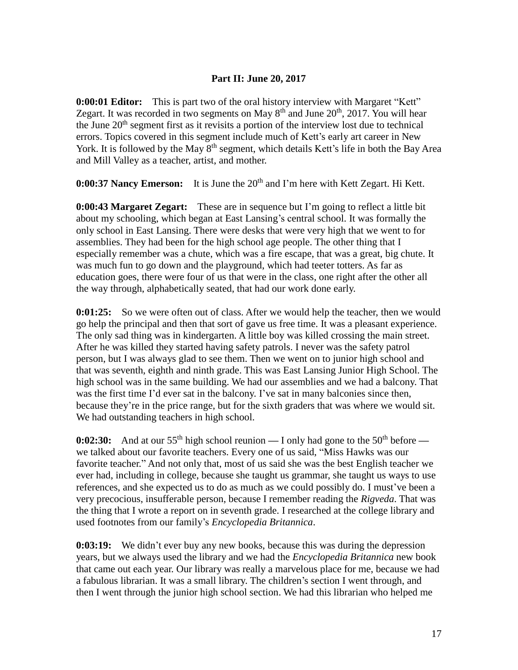# **Part II: June 20, 2017**

**0:00:01 Editor:** This is part two of the oral history interview with Margaret "Kett" Zegart. It was recorded in two segments on May  $8<sup>th</sup>$  and June  $20<sup>th</sup>$ ,  $2017$ . You will hear the June  $20<sup>th</sup>$  segment first as it revisits a portion of the interview lost due to technical errors. Topics covered in this segment include much of Kett's early art career in New York. It is followed by the May  $8<sup>th</sup>$  segment, which details Kett's life in both the Bay Area and Mill Valley as a teacher, artist, and mother.

**0:00:37 Nancy Emerson:** It is June the 20<sup>th</sup> and I'm here with Kett Zegart. Hi Kett.

**0:00:43 Margaret Zegart:** These are in sequence but I'm going to reflect a little bit about my schooling, which began at East Lansing's central school. It was formally the only school in East Lansing. There were desks that were very high that we went to for assemblies. They had been for the high school age people. The other thing that I especially remember was a chute, which was a fire escape, that was a great, big chute. It was much fun to go down and the playground, which had teeter totters. As far as education goes, there were four of us that were in the class, one right after the other all the way through, alphabetically seated, that had our work done early.

**0:01:25:** So we were often out of class. After we would help the teacher, then we would go help the principal and then that sort of gave us free time. It was a pleasant experience. The only sad thing was in kindergarten. A little boy was killed crossing the main street. After he was killed they started having safety patrols. I never was the safety patrol person, but I was always glad to see them. Then we went on to junior high school and that was seventh, eighth and ninth grade. This was East Lansing Junior High School. The high school was in the same building. We had our assemblies and we had a balcony. That was the first time I'd ever sat in the balcony. I've sat in many balconies since then, because they're in the price range, but for the sixth graders that was where we would sit. We had outstanding teachers in high school.

**0:02:30:** And at our 55<sup>th</sup> high school reunion — I only had gone to the 50<sup>th</sup> before we talked about our favorite teachers. Every one of us said, "Miss Hawks was our favorite teacher." And not only that, most of us said she was the best English teacher we ever had, including in college, because she taught us grammar, she taught us ways to use references, and she expected us to do as much as we could possibly do. I must've been a very precocious, insufferable person, because I remember reading the *Rigveda*. That was the thing that I wrote a report on in seventh grade. I researched at the college library and used footnotes from our family's *Encyclopedia Britannica*.

**0:03:19:** We didn't ever buy any new books, because this was during the depression years, but we always used the library and we had the *Encyclopedia Britannica* new book that came out each year. Our library was really a marvelous place for me, because we had a fabulous librarian. It was a small library. The children's section I went through, and then I went through the junior high school section. We had this librarian who helped me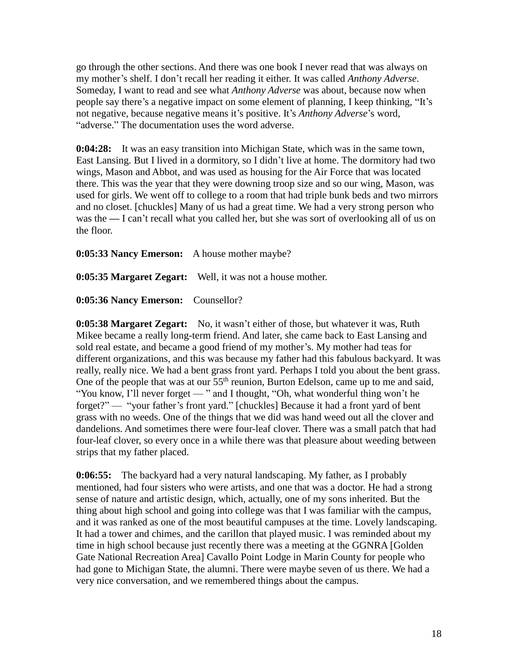go through the other sections. And there was one book I never read that was always on my mother's shelf. I don't recall her reading it either. It was called *Anthony Adverse*. Someday, I want to read and see what *Anthony Adverse* was about, because now when people say there's a negative impact on some element of planning, I keep thinking, "It's not negative, because negative means it's positive. It's *Anthony Adverse*'s word, "adverse." The documentation uses the word adverse.

**0:04:28:** It was an easy transition into Michigan State, which was in the same town, East Lansing. But I lived in a dormitory, so I didn't live at home. The dormitory had two wings, Mason and Abbot, and was used as housing for the Air Force that was located there. This was the year that they were downing troop size and so our wing, Mason, was used for girls. We went off to college to a room that had triple bunk beds and two mirrors and no closet. [chuckles] Many of us had a great time. We had a very strong person who was the — I can't recall what you called her, but she was sort of overlooking all of us on the floor.

**0:05:33 Nancy Emerson:** A house mother maybe?

**0:05:35 Margaret Zegart:** Well, it was not a house mother.

**0:05:36 Nancy Emerson:** Counsellor?

**0:05:38 Margaret Zegart:** No, it wasn't either of those, but whatever it was, Ruth Mikee became a really long-term friend. And later, she came back to East Lansing and sold real estate, and became a good friend of my mother's. My mother had teas for different organizations, and this was because my father had this fabulous backyard. It was really, really nice. We had a bent grass front yard. Perhaps I told you about the bent grass. One of the people that was at our 55<sup>th</sup> reunion, Burton Edelson, came up to me and said, "You know, I'll never forget — " and I thought, "Oh, what wonderful thing won't he forget?" — "your father's front yard." [chuckles] Because it had a front yard of bent grass with no weeds. One of the things that we did was hand weed out all the clover and dandelions. And sometimes there were four-leaf clover. There was a small patch that had four-leaf clover, so every once in a while there was that pleasure about weeding between strips that my father placed.

**0:06:55:** The backyard had a very natural landscaping. My father, as I probably mentioned, had four sisters who were artists, and one that was a doctor. He had a strong sense of nature and artistic design, which, actually, one of my sons inherited. But the thing about high school and going into college was that I was familiar with the campus, and it was ranked as one of the most beautiful campuses at the time. Lovely landscaping. It had a tower and chimes, and the carillon that played music. I was reminded about my time in high school because just recently there was a meeting at the GGNRA [Golden Gate National Recreation Area] Cavallo Point Lodge in Marin County for people who had gone to Michigan State, the alumni. There were maybe seven of us there. We had a very nice conversation, and we remembered things about the campus.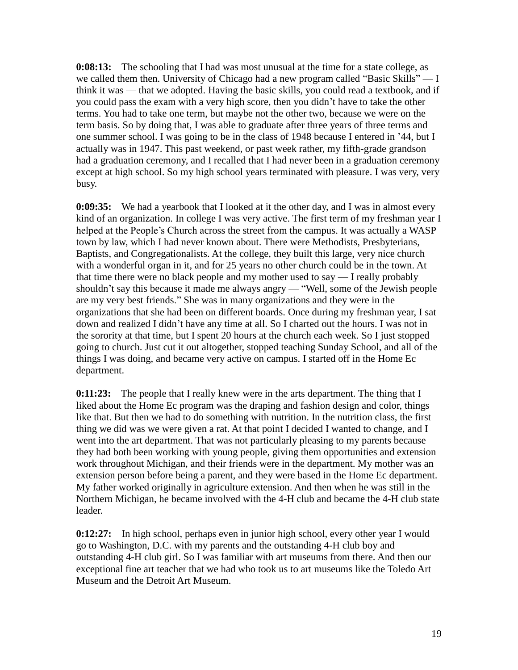**0:08:13:** The schooling that I had was most unusual at the time for a state college, as we called them then. University of Chicago had a new program called "Basic Skills" — I think it was — that we adopted. Having the basic skills, you could read a textbook, and if you could pass the exam with a very high score, then you didn't have to take the other terms. You had to take one term, but maybe not the other two, because we were on the term basis. So by doing that, I was able to graduate after three years of three terms and one summer school. I was going to be in the class of 1948 because I entered in '44, but I actually was in 1947. This past weekend, or past week rather, my fifth-grade grandson had a graduation ceremony, and I recalled that I had never been in a graduation ceremony except at high school. So my high school years terminated with pleasure. I was very, very busy.

**0:09:35:** We had a yearbook that I looked at it the other day, and I was in almost every kind of an organization. In college I was very active. The first term of my freshman year I helped at the People's Church across the street from the campus. It was actually a WASP town by law, which I had never known about. There were Methodists, Presbyterians, Baptists, and Congregationalists. At the college, they built this large, very nice church with a wonderful organ in it, and for 25 years no other church could be in the town. At that time there were no black people and my mother used to say — I really probably shouldn't say this because it made me always angry — "Well, some of the Jewish people are my very best friends." She was in many organizations and they were in the organizations that she had been on different boards. Once during my freshman year, I sat down and realized I didn't have any time at all. So I charted out the hours. I was not in the sorority at that time, but I spent 20 hours at the church each week. So I just stopped going to church. Just cut it out altogether, stopped teaching Sunday School, and all of the things I was doing, and became very active on campus. I started off in the Home Ec department.

**0:11:23:** The people that I really knew were in the arts department. The thing that I liked about the Home Ec program was the draping and fashion design and color, things like that. But then we had to do something with nutrition. In the nutrition class, the first thing we did was we were given a rat. At that point I decided I wanted to change, and I went into the art department. That was not particularly pleasing to my parents because they had both been working with young people, giving them opportunities and extension work throughout Michigan, and their friends were in the department. My mother was an extension person before being a parent, and they were based in the Home Ec department. My father worked originally in agriculture extension. And then when he was still in the Northern Michigan, he became involved with the 4-H club and became the 4-H club state leader.

**0:12:27:** In high school, perhaps even in junior high school, every other year I would go to Washington, D.C. with my parents and the outstanding 4-H club boy and outstanding 4-H club girl. So I was familiar with art museums from there. And then our exceptional fine art teacher that we had who took us to art museums like the Toledo Art Museum and the Detroit Art Museum.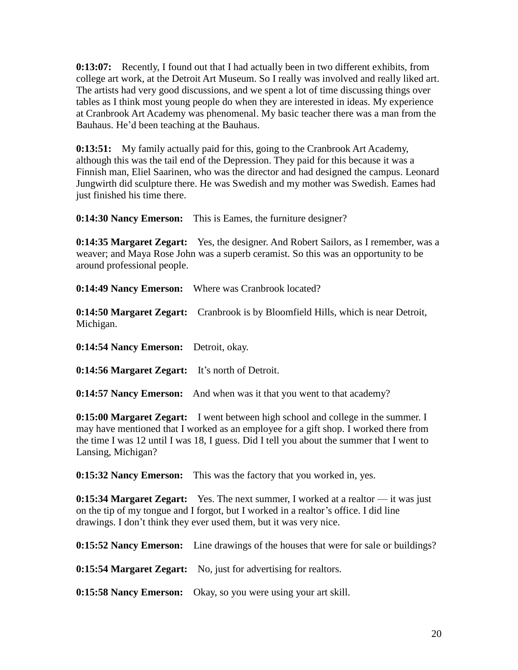**0:13:07:** Recently, I found out that I had actually been in two different exhibits, from college art work, at the Detroit Art Museum. So I really was involved and really liked art. The artists had very good discussions, and we spent a lot of time discussing things over tables as I think most young people do when they are interested in ideas. My experience at Cranbrook Art Academy was phenomenal. My basic teacher there was a man from the Bauhaus. He'd been teaching at the Bauhaus.

**0:13:51:** My family actually paid for this, going to the Cranbrook Art Academy, although this was the tail end of the Depression. They paid for this because it was a Finnish man, Eliel Saarinen, who was the director and had designed the campus. Leonard Jungwirth did sculpture there. He was Swedish and my mother was Swedish. Eames had just finished his time there.

**0:14:30 Nancy Emerson:** This is Eames, the furniture designer?

**0:14:35 Margaret Zegart:** Yes, the designer. And Robert Sailors, as I remember, was a weaver; and Maya Rose John was a superb ceramist. So this was an opportunity to be around professional people.

**0:14:49 Nancy Emerson:** Where was Cranbrook located?

**0:14:50 Margaret Zegart:** Cranbrook is by Bloomfield Hills, which is near Detroit, Michigan.

**0:14:54 Nancy Emerson:** Detroit, okay.

**0:14:56 Margaret Zegart:** It's north of Detroit.

**0:14:57 Nancy Emerson:** And when was it that you went to that academy?

**0:15:00 Margaret Zegart:** I went between high school and college in the summer. I may have mentioned that I worked as an employee for a gift shop. I worked there from the time I was 12 until I was 18, I guess. Did I tell you about the summer that I went to Lansing, Michigan?

**0:15:32 Nancy Emerson:** This was the factory that you worked in, yes.

**0:15:34 Margaret Zegart:** Yes. The next summer, I worked at a realtor — it was just on the tip of my tongue and I forgot, but I worked in a realtor's office. I did line drawings. I don't think they ever used them, but it was very nice.

**0:15:52 Nancy Emerson:** Line drawings of the houses that were for sale or buildings?

**0:15:54 Margaret Zegart:** No, just for advertising for realtors.

**0:15:58 Nancy Emerson:** Okay, so you were using your art skill.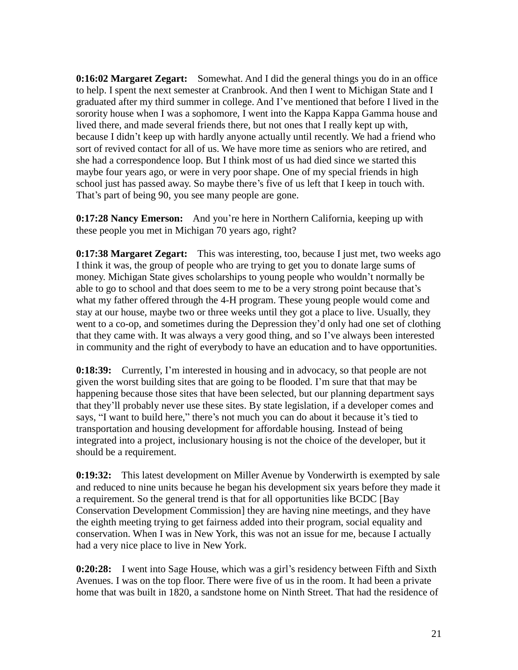**0:16:02 Margaret Zegart:** Somewhat. And I did the general things you do in an office to help. I spent the next semester at Cranbrook. And then I went to Michigan State and I graduated after my third summer in college. And I've mentioned that before I lived in the sorority house when I was a sophomore, I went into the Kappa Kappa Gamma house and lived there, and made several friends there, but not ones that I really kept up with, because I didn't keep up with hardly anyone actually until recently. We had a friend who sort of revived contact for all of us. We have more time as seniors who are retired, and she had a correspondence loop. But I think most of us had died since we started this maybe four years ago, or were in very poor shape. One of my special friends in high school just has passed away. So maybe there's five of us left that I keep in touch with. That's part of being 90, you see many people are gone.

**0:17:28 Nancy Emerson:** And you're here in Northern California, keeping up with these people you met in Michigan 70 years ago, right?

**0:17:38 Margaret Zegart:** This was interesting, too, because I just met, two weeks ago I think it was, the group of people who are trying to get you to donate large sums of money. Michigan State gives scholarships to young people who wouldn't normally be able to go to school and that does seem to me to be a very strong point because that's what my father offered through the 4-H program. These young people would come and stay at our house, maybe two or three weeks until they got a place to live. Usually, they went to a co-op, and sometimes during the Depression they'd only had one set of clothing that they came with. It was always a very good thing, and so I've always been interested in community and the right of everybody to have an education and to have opportunities.

**0:18:39:** Currently, I'm interested in housing and in advocacy, so that people are not given the worst building sites that are going to be flooded. I'm sure that that may be happening because those sites that have been selected, but our planning department says that they'll probably never use these sites. By state legislation, if a developer comes and says, "I want to build here," there's not much you can do about it because it's tied to transportation and housing development for affordable housing. Instead of being integrated into a project, inclusionary housing is not the choice of the developer, but it should be a requirement.

**0:19:32:** This latest development on Miller Avenue by Vonderwirth is exempted by sale and reduced to nine units because he began his development six years before they made it a requirement. So the general trend is that for all opportunities like BCDC [Bay Conservation Development Commission] they are having nine meetings, and they have the eighth meeting trying to get fairness added into their program, social equality and conservation. When I was in New York, this was not an issue for me, because I actually had a very nice place to live in New York.

**0:20:28:** I went into Sage House, which was a girl's residency between Fifth and Sixth Avenues. I was on the top floor. There were five of us in the room. It had been a private home that was built in 1820, a sandstone home on Ninth Street. That had the residence of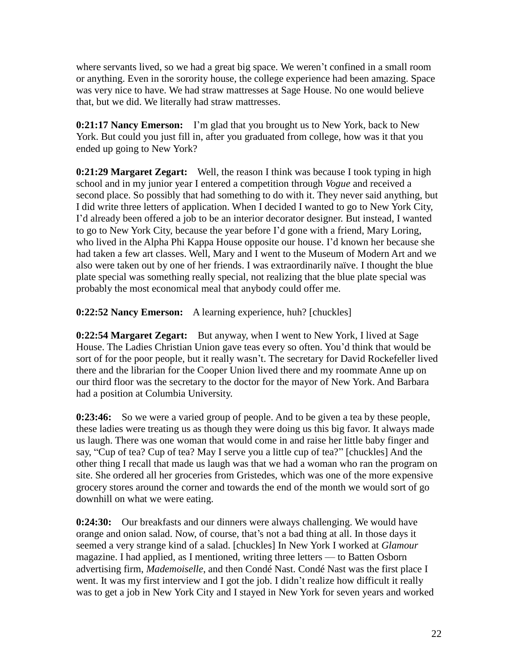where servants lived, so we had a great big space. We weren't confined in a small room or anything. Even in the sorority house, the college experience had been amazing. Space was very nice to have. We had straw mattresses at Sage House. No one would believe that, but we did. We literally had straw mattresses.

**0:21:17 Nancy Emerson:** I'm glad that you brought us to New York, back to New York. But could you just fill in, after you graduated from college, how was it that you ended up going to New York?

**0:21:29 Margaret Zegart:** Well, the reason I think was because I took typing in high school and in my junior year I entered a competition through *Vogue* and received a second place. So possibly that had something to do with it. They never said anything, but I did write three letters of application. When I decided I wanted to go to New York City, I'd already been offered a job to be an interior decorator designer. But instead, I wanted to go to New York City, because the year before I'd gone with a friend, Mary Loring, who lived in the Alpha Phi Kappa House opposite our house. I'd known her because she had taken a few art classes. Well, Mary and I went to the Museum of Modern Art and we also were taken out by one of her friends. I was extraordinarily naïve. I thought the blue plate special was something really special, not realizing that the blue plate special was probably the most economical meal that anybody could offer me.

**0:22:52 Nancy Emerson:** A learning experience, huh? [chuckles]

**0:22:54 Margaret Zegart:** But anyway, when I went to New York, I lived at Sage House. The Ladies Christian Union gave teas every so often. You'd think that would be sort of for the poor people, but it really wasn't. The secretary for David Rockefeller lived there and the librarian for the Cooper Union lived there and my roommate Anne up on our third floor was the secretary to the doctor for the mayor of New York. And Barbara had a position at Columbia University.

**0:23:46:** So we were a varied group of people. And to be given a tea by these people, these ladies were treating us as though they were doing us this big favor. It always made us laugh. There was one woman that would come in and raise her little baby finger and say, "Cup of tea? Cup of tea? May I serve you a little cup of tea?" [chuckles] And the other thing I recall that made us laugh was that we had a woman who ran the program on site. She ordered all her groceries from Gristedes, which was one of the more expensive grocery stores around the corner and towards the end of the month we would sort of go downhill on what we were eating.

**0:24:30:** Our breakfasts and our dinners were always challenging. We would have orange and onion salad. Now, of course, that's not a bad thing at all. In those days it seemed a very strange kind of a salad. [chuckles] In New York I worked at *Glamour* magazine. I had applied, as I mentioned, writing three letters — to Batten Osborn advertising firm, *Mademoiselle*, and then Condé Nast. Condé Nast was the first place I went. It was my first interview and I got the job. I didn't realize how difficult it really was to get a job in New York City and I stayed in New York for seven years and worked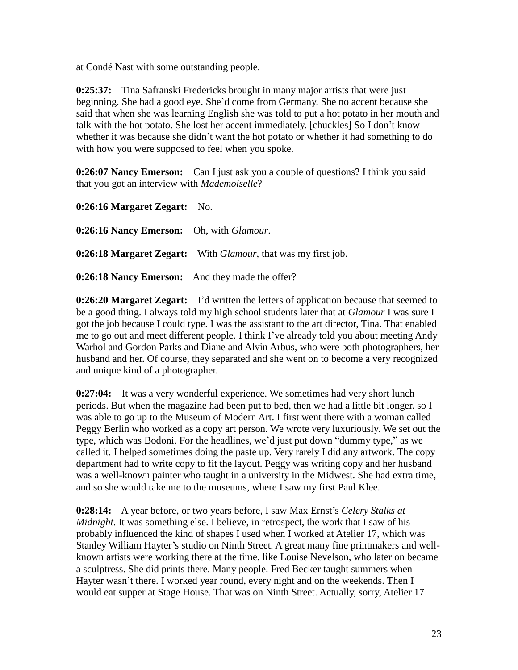at Condé Nast with some outstanding people.

**0:25:37:** Tina Safranski Fredericks brought in many major artists that were just beginning. She had a good eye. She'd come from Germany. She no accent because she said that when she was learning English she was told to put a hot potato in her mouth and talk with the hot potato. She lost her accent immediately. [chuckles] So I don't know whether it was because she didn't want the hot potato or whether it had something to do with how you were supposed to feel when you spoke.

**0:26:07 Nancy Emerson:** Can I just ask you a couple of questions? I think you said that you got an interview with *Mademoiselle*?

**0:26:16 Margaret Zegart:** No.

**0:26:16 Nancy Emerson:** Oh, with *Glamour*. **0:26:18 Margaret Zegart:** With *Glamour*, that was my first job.

**0:26:18 Nancy Emerson:** And they made the offer?

**0:26:20 Margaret Zegart:** I'd written the letters of application because that seemed to be a good thing. I always told my high school students later that at *Glamour* I was sure I got the job because I could type. I was the assistant to the art director, Tina. That enabled me to go out and meet different people. I think I've already told you about meeting Andy Warhol and Gordon Parks and Diane and Alvin Arbus, who were both photographers, her husband and her. Of course, they separated and she went on to become a very recognized and unique kind of a photographer.

**0:27:04:** It was a very wonderful experience. We sometimes had very short lunch periods. But when the magazine had been put to bed, then we had a little bit longer. so I was able to go up to the Museum of Modern Art. I first went there with a woman called Peggy Berlin who worked as a copy art person. We wrote very luxuriously. We set out the type, which was Bodoni. For the headlines, we'd just put down "dummy type," as we called it. I helped sometimes doing the paste up. Very rarely I did any artwork. The copy department had to write copy to fit the layout. Peggy was writing copy and her husband was a well-known painter who taught in a university in the Midwest. She had extra time, and so she would take me to the museums, where I saw my first Paul Klee.

**0:28:14:** A year before, or two years before, I saw Max Ernst's *Celery Stalks at Midnight*. It was something else. I believe, in retrospect, the work that I saw of his probably influenced the kind of shapes I used when I worked at Atelier 17, which was Stanley William Hayter's studio on Ninth Street. A great many fine printmakers and wellknown artists were working there at the time, like Louise Nevelson, who later on became a sculptress. She did prints there. Many people. Fred Becker taught summers when Hayter wasn't there. I worked year round, every night and on the weekends. Then I would eat supper at Stage House. That was on Ninth Street. Actually, sorry, Atelier 17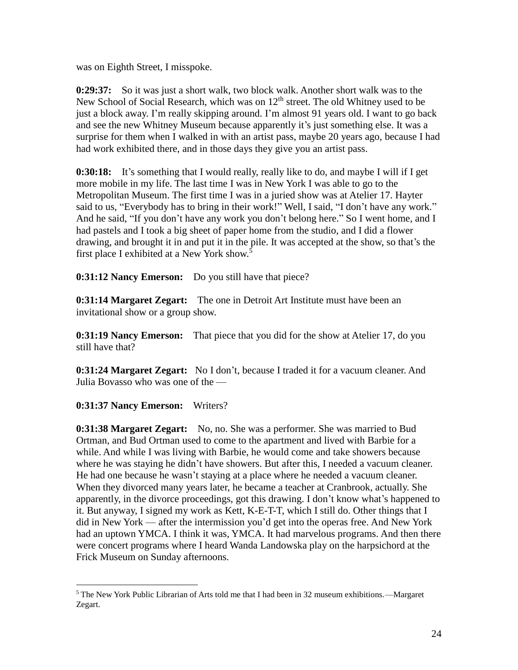was on Eighth Street, I misspoke.

**0:29:37:** So it was just a short walk, two block walk. Another short walk was to the New School of Social Research, which was on  $12<sup>th</sup>$  street. The old Whitney used to be just a block away. I'm really skipping around. I'm almost 91 years old. I want to go back and see the new Whitney Museum because apparently it's just something else. It was a surprise for them when I walked in with an artist pass, maybe 20 years ago, because I had had work exhibited there, and in those days they give you an artist pass.

**0:30:18:** It's something that I would really, really like to do, and maybe I will if I get more mobile in my life. The last time I was in New York I was able to go to the Metropolitan Museum. The first time I was in a juried show was at Atelier 17. Hayter said to us, "Everybody has to bring in their work!" Well, I said, "I don't have any work." And he said, "If you don't have any work you don't belong here." So I went home, and I had pastels and I took a big sheet of paper home from the studio, and I did a flower drawing, and brought it in and put it in the pile. It was accepted at the show, so that's the first place I exhibited at a New York show.<sup>5</sup>

**0:31:12 Nancy Emerson:** Do you still have that piece?

**0:31:14 Margaret Zegart:** The one in Detroit Art Institute must have been an invitational show or a group show.

**0:31:19 Nancy Emerson:** That piece that you did for the show at Atelier 17, do you still have that?

**0:31:24 Margaret Zegart:** No I don't, because I traded it for a vacuum cleaner. And Julia Bovasso who was one of the —

**0:31:37 Nancy Emerson:** Writers?

 $\overline{a}$ 

**0:31:38 Margaret Zegart:** No, no. She was a performer. She was married to Bud Ortman, and Bud Ortman used to come to the apartment and lived with Barbie for a while. And while I was living with Barbie, he would come and take showers because where he was staying he didn't have showers. But after this, I needed a vacuum cleaner. He had one because he wasn't staying at a place where he needed a vacuum cleaner. When they divorced many years later, he became a teacher at Cranbrook, actually. She apparently, in the divorce proceedings, got this drawing. I don't know what's happened to it. But anyway, I signed my work as Kett, K-E-T-T, which I still do. Other things that I did in New York — after the intermission you'd get into the operas free. And New York had an uptown YMCA. I think it was, YMCA. It had marvelous programs. And then there were concert programs where I heard Wanda Landowska play on the harpsichord at the Frick Museum on Sunday afternoons.

<sup>5</sup> The New York Public Librarian of Arts told me that I had been in 32 museum exhibitions.—Margaret Zegart.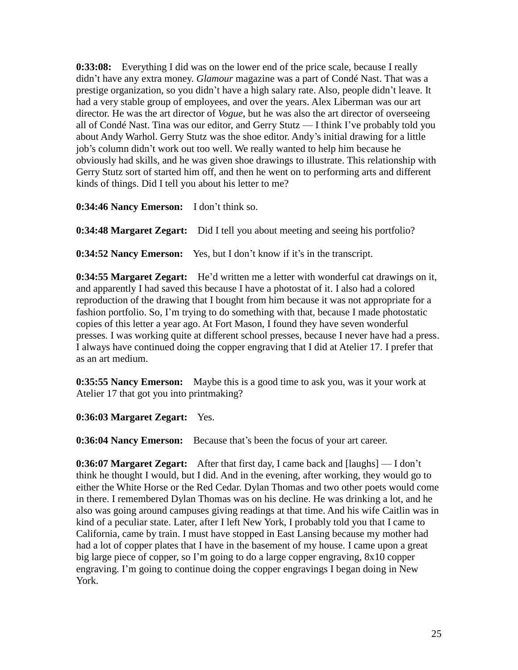**0:33:08:** Everything I did was on the lower end of the price scale, because I really didn't have any extra money. *Glamour* magazine was a part of Condé Nast. That was a prestige organization, so you didn't have a high salary rate. Also, people didn't leave. It had a very stable group of employees, and over the years. Alex Liberman was our art director. He was the art director of *Vogue*, but he was also the art director of overseeing all of Condé Nast. Tina was our editor, and Gerry Stutz — I think I've probably told you about Andy Warhol. Gerry Stutz was the shoe editor. Andy's initial drawing for a little job's column didn't work out too well. We really wanted to help him because he obviously had skills, and he was given shoe drawings to illustrate. This relationship with Gerry Stutz sort of started him off, and then he went on to performing arts and different kinds of things. Did I tell you about his letter to me?

**0:34:46 Nancy Emerson:** I don't think so.

**0:34:48 Margaret Zegart:** Did I tell you about meeting and seeing his portfolio?

**0:34:52 Nancy Emerson:** Yes, but I don't know if it's in the transcript.

**0:34:55 Margaret Zegart:** He'd written me a letter with wonderful cat drawings on it, and apparently I had saved this because I have a photostat of it. I also had a colored reproduction of the drawing that I bought from him because it was not appropriate for a fashion portfolio. So, I'm trying to do something with that, because I made photostatic copies of this letter a year ago. At Fort Mason, I found they have seven wonderful presses. I was working quite at different school presses, because I never have had a press. I always have continued doing the copper engraving that I did at Atelier 17. I prefer that as an art medium.

**0:35:55 Nancy Emerson:** Maybe this is a good time to ask you, was it your work at Atelier 17 that got you into printmaking?

**0:36:03 Margaret Zegart:** Yes.

**0:36:04 Nancy Emerson:** Because that's been the focus of your art career.

**0:36:07 Margaret Zegart:** After that first day, I came back and [laughs] — I don't think he thought I would, but I did. And in the evening, after working, they would go to either the White Horse or the Red Cedar. Dylan Thomas and two other poets would come in there. I remembered Dylan Thomas was on his decline. He was drinking a lot, and he also was going around campuses giving readings at that time. And his wife Caitlin was in kind of a peculiar state. Later, after I left New York, I probably told you that I came to California, came by train. I must have stopped in East Lansing because my mother had had a lot of copper plates that I have in the basement of my house. I came upon a great big large piece of copper, so I'm going to do a large copper engraving, 8x10 copper engraving. I'm going to continue doing the copper engravings I began doing in New York.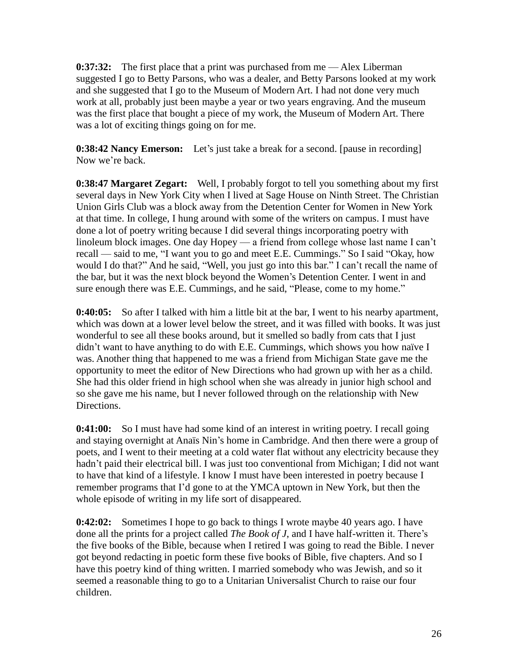**0:37:32:** The first place that a print was purchased from me — Alex Liberman suggested I go to Betty Parsons, who was a dealer, and Betty Parsons looked at my work and she suggested that I go to the Museum of Modern Art. I had not done very much work at all, probably just been maybe a year or two years engraving. And the museum was the first place that bought a piece of my work, the Museum of Modern Art. There was a lot of exciting things going on for me.

**0:38:42 Nancy Emerson:** Let's just take a break for a second. [pause in recording] Now we're back.

**0:38:47 Margaret Zegart:** Well, I probably forgot to tell you something about my first several days in New York City when I lived at Sage House on Ninth Street. The Christian Union Girls Club was a block away from the Detention Center for Women in New York at that time. In college, I hung around with some of the writers on campus. I must have done a lot of poetry writing because I did several things incorporating poetry with linoleum block images. One day Hopey — a friend from college whose last name I can't recall — said to me, "I want you to go and meet E.E. Cummings." So I said "Okay, how would I do that?" And he said, "Well, you just go into this bar." I can't recall the name of the bar, but it was the next block beyond the Women's Detention Center. I went in and sure enough there was E.E. Cummings, and he said, "Please, come to my home."

**0:40:05:** So after I talked with him a little bit at the bar, I went to his nearby apartment, which was down at a lower level below the street, and it was filled with books. It was just wonderful to see all these books around, but it smelled so badly from cats that I just didn't want to have anything to do with E.E. Cummings, which shows you how naïve I was. Another thing that happened to me was a friend from Michigan State gave me the opportunity to meet the editor of New Directions who had grown up with her as a child. She had this older friend in high school when she was already in junior high school and so she gave me his name, but I never followed through on the relationship with New Directions.

**0:41:00:** So I must have had some kind of an interest in writing poetry. I recall going and staying overnight at Anaïs Nin's home in Cambridge. And then there were a group of poets, and I went to their meeting at a cold water flat without any electricity because they hadn't paid their electrical bill. I was just too conventional from Michigan; I did not want to have that kind of a lifestyle. I know I must have been interested in poetry because I remember programs that I'd gone to at the YMCA uptown in New York, but then the whole episode of writing in my life sort of disappeared.

**0:42:02:** Sometimes I hope to go back to things I wrote maybe 40 years ago. I have done all the prints for a project called *The Book of J*, and I have half-written it. There's the five books of the Bible, because when I retired I was going to read the Bible. I never got beyond redacting in poetic form these five books of Bible, five chapters. And so I have this poetry kind of thing written. I married somebody who was Jewish, and so it seemed a reasonable thing to go to a Unitarian Universalist Church to raise our four children.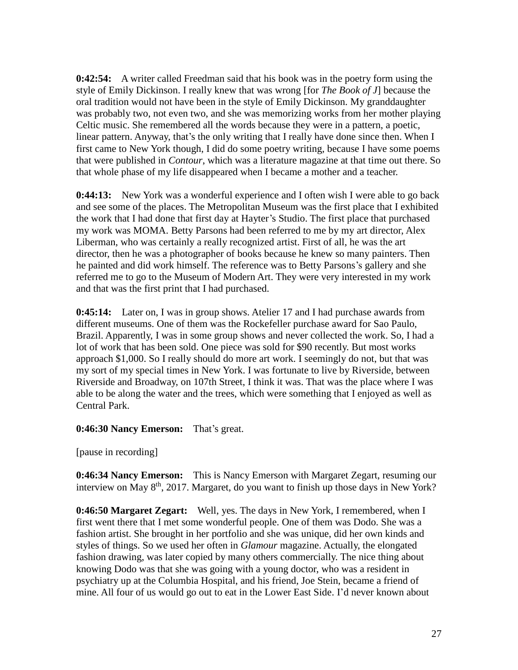**0:42:54:** A writer called Freedman said that his book was in the poetry form using the style of Emily Dickinson. I really knew that was wrong [for *The Book of J*] because the oral tradition would not have been in the style of Emily Dickinson. My granddaughter was probably two, not even two, and she was memorizing works from her mother playing Celtic music. She remembered all the words because they were in a pattern, a poetic, linear pattern. Anyway, that's the only writing that I really have done since then. When I first came to New York though, I did do some poetry writing, because I have some poems that were published in *Contour*, which was a literature magazine at that time out there. So that whole phase of my life disappeared when I became a mother and a teacher.

**0:44:13:** New York was a wonderful experience and I often wish I were able to go back and see some of the places. The Metropolitan Museum was the first place that I exhibited the work that I had done that first day at Hayter's Studio. The first place that purchased my work was MOMA. Betty Parsons had been referred to me by my art director, Alex Liberman, who was certainly a really recognized artist. First of all, he was the art director, then he was a photographer of books because he knew so many painters. Then he painted and did work himself. The reference was to Betty Parsons's gallery and she referred me to go to the Museum of Modern Art. They were very interested in my work and that was the first print that I had purchased.

**0:45:14:** Later on, I was in group shows. Atelier 17 and I had purchase awards from different museums. One of them was the Rockefeller purchase award for Sao Paulo, Brazil. Apparently, I was in some group shows and never collected the work. So, I had a lot of work that has been sold. One piece was sold for \$90 recently. But most works approach \$1,000. So I really should do more art work. I seemingly do not, but that was my sort of my special times in New York. I was fortunate to live by Riverside, between Riverside and Broadway, on 107th Street, I think it was. That was the place where I was able to be along the water and the trees, which were something that I enjoyed as well as Central Park.

#### **0:46:30 Nancy Emerson:** That's great.

[pause in recording]

**0:46:34 Nancy Emerson:** This is Nancy Emerson with Margaret Zegart, resuming our interview on May 8<sup>th</sup>, 2017. Margaret, do you want to finish up those days in New York?

**0:46:50 Margaret Zegart:** Well, yes. The days in New York, I remembered, when I first went there that I met some wonderful people. One of them was Dodo. She was a fashion artist. She brought in her portfolio and she was unique, did her own kinds and styles of things. So we used her often in *Glamour* magazine. Actually, the elongated fashion drawing, was later copied by many others commercially. The nice thing about knowing Dodo was that she was going with a young doctor, who was a resident in psychiatry up at the Columbia Hospital, and his friend, Joe Stein, became a friend of mine. All four of us would go out to eat in the Lower East Side. I'd never known about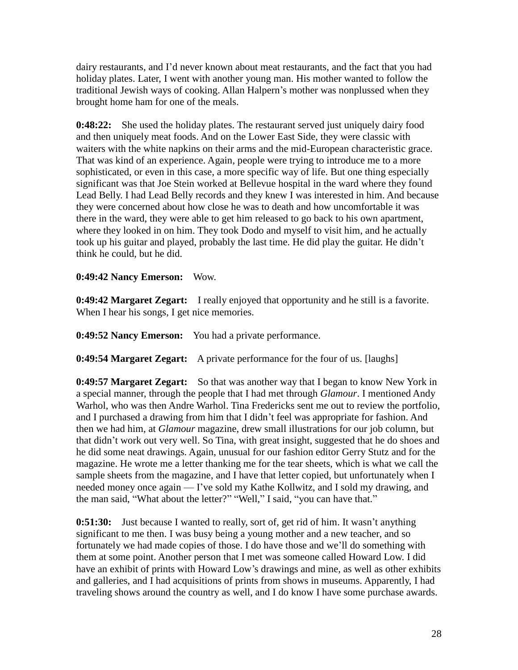dairy restaurants, and I'd never known about meat restaurants, and the fact that you had holiday plates. Later, I went with another young man. His mother wanted to follow the traditional Jewish ways of cooking. Allan Halpern's mother was nonplussed when they brought home ham for one of the meals.

**0:48:22:** She used the holiday plates. The restaurant served just uniquely dairy food and then uniquely meat foods. And on the Lower East Side, they were classic with waiters with the white napkins on their arms and the mid-European characteristic grace. That was kind of an experience. Again, people were trying to introduce me to a more sophisticated, or even in this case, a more specific way of life. But one thing especially significant was that Joe Stein worked at Bellevue hospital in the ward where they found Lead Belly. I had Lead Belly records and they knew I was interested in him. And because they were concerned about how close he was to death and how uncomfortable it was there in the ward, they were able to get him released to go back to his own apartment, where they looked in on him. They took Dodo and myself to visit him, and he actually took up his guitar and played, probably the last time. He did play the guitar. He didn't think he could, but he did.

# **0:49:42 Nancy Emerson:** Wow.

**0:49:42 Margaret Zegart:** I really enjoyed that opportunity and he still is a favorite. When I hear his songs, I get nice memories.

**0:49:52 Nancy Emerson:** You had a private performance.

**0:49:54 Margaret Zegart:** A private performance for the four of us. [laughs]

**0:49:57 Margaret Zegart:** So that was another way that I began to know New York in a special manner, through the people that I had met through *Glamour*. I mentioned Andy Warhol, who was then Andre Warhol. Tina Fredericks sent me out to review the portfolio, and I purchased a drawing from him that I didn't feel was appropriate for fashion. And then we had him, at *Glamour* magazine, drew small illustrations for our job column, but that didn't work out very well. So Tina, with great insight, suggested that he do shoes and he did some neat drawings. Again, unusual for our fashion editor Gerry Stutz and for the magazine. He wrote me a letter thanking me for the tear sheets, which is what we call the sample sheets from the magazine, and I have that letter copied, but unfortunately when I needed money once again — I've sold my Kathe Kollwitz, and I sold my drawing, and the man said, "What about the letter?" "Well," I said, "you can have that."

**0:51:30:** Just because I wanted to really, sort of, get rid of him. It wasn't anything significant to me then. I was busy being a young mother and a new teacher, and so fortunately we had made copies of those. I do have those and we'll do something with them at some point. Another person that I met was someone called Howard Low. I did have an exhibit of prints with Howard Low's drawings and mine, as well as other exhibits and galleries, and I had acquisitions of prints from shows in museums. Apparently, I had traveling shows around the country as well, and I do know I have some purchase awards.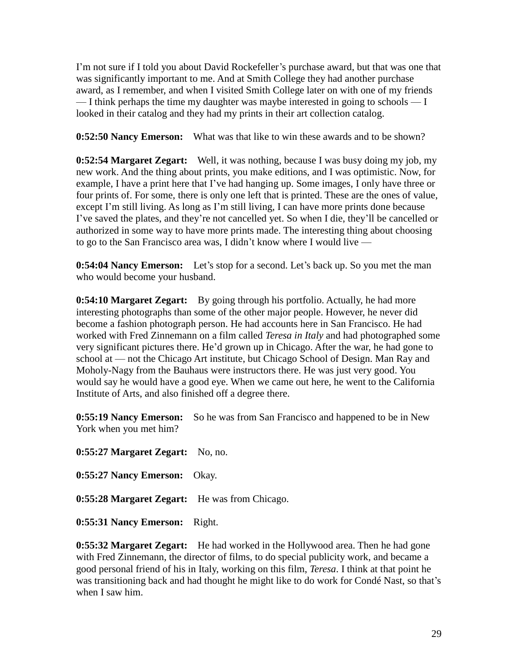I'm not sure if I told you about David Rockefeller's purchase award, but that was one that was significantly important to me. And at Smith College they had another purchase award, as I remember, and when I visited Smith College later on with one of my friends  $-$  I think perhaps the time my daughter was maybe interested in going to schools  $-$  I looked in their catalog and they had my prints in their art collection catalog.

**0:52:50 Nancy Emerson:** What was that like to win these awards and to be shown?

**0:52:54 Margaret Zegart:** Well, it was nothing, because I was busy doing my job, my new work. And the thing about prints, you make editions, and I was optimistic. Now, for example, I have a print here that I've had hanging up. Some images, I only have three or four prints of. For some, there is only one left that is printed. These are the ones of value, except I'm still living. As long as I'm still living, I can have more prints done because I've saved the plates, and they're not cancelled yet. So when I die, they'll be cancelled or authorized in some way to have more prints made. The interesting thing about choosing to go to the San Francisco area was, I didn't know where I would live —

**0:54:04 Nancy Emerson:** Let's stop for a second. Let's back up. So you met the man who would become your husband.

**0:54:10 Margaret Zegart:** By going through his portfolio. Actually, he had more interesting photographs than some of the other major people. However, he never did become a fashion photograph person. He had accounts here in San Francisco. He had worked with Fred Zinnemann on a film called *Teresa in Italy* and had photographed some very significant pictures there. He'd grown up in Chicago. After the war, he had gone to school at — not the Chicago Art institute, but Chicago School of Design. Man Ray and Moholy-Nagy from the Bauhaus were instructors there. He was just very good. You would say he would have a good eye. When we came out here, he went to the California Institute of Arts, and also finished off a degree there.

**0:55:19 Nancy Emerson:** So he was from San Francisco and happened to be in New York when you met him?

**0:55:27 Margaret Zegart:** No, no. **0:55:27 Nancy Emerson:** Okay. **0:55:28 Margaret Zegart:** He was from Chicago.

**0:55:31 Nancy Emerson:** Right.

**0:55:32 Margaret Zegart:** He had worked in the Hollywood area. Then he had gone with Fred Zinnemann, the director of films, to do special publicity work, and became a good personal friend of his in Italy, working on this film, *Teresa*. I think at that point he was transitioning back and had thought he might like to do work for Condé Nast, so that's when I saw him.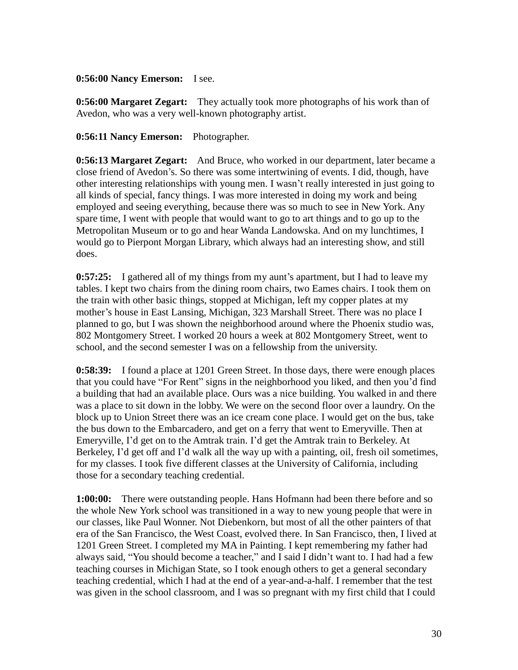#### **0:56:00 Nancy Emerson:** I see.

**0:56:00 Margaret Zegart:** They actually took more photographs of his work than of Avedon, who was a very well-known photography artist.

#### **0:56:11 Nancy Emerson:** Photographer.

**0:56:13 Margaret Zegart:** And Bruce, who worked in our department, later became a close friend of Avedon's. So there was some intertwining of events. I did, though, have other interesting relationships with young men. I wasn't really interested in just going to all kinds of special, fancy things. I was more interested in doing my work and being employed and seeing everything, because there was so much to see in New York. Any spare time, I went with people that would want to go to art things and to go up to the Metropolitan Museum or to go and hear Wanda Landowska. And on my lunchtimes, I would go to Pierpont Morgan Library, which always had an interesting show, and still does.

**0:57:25:** I gathered all of my things from my aunt's apartment, but I had to leave my tables. I kept two chairs from the dining room chairs, two Eames chairs. I took them on the train with other basic things, stopped at Michigan, left my copper plates at my mother's house in East Lansing, Michigan, 323 Marshall Street. There was no place I planned to go, but I was shown the neighborhood around where the Phoenix studio was, 802 Montgomery Street. I worked 20 hours a week at 802 Montgomery Street, went to school, and the second semester I was on a fellowship from the university.

**0:58:39:** I found a place at 1201 Green Street. In those days, there were enough places that you could have "For Rent" signs in the neighborhood you liked, and then you'd find a building that had an available place. Ours was a nice building. You walked in and there was a place to sit down in the lobby. We were on the second floor over a laundry. On the block up to Union Street there was an ice cream cone place. I would get on the bus, take the bus down to the Embarcadero, and get on a ferry that went to Emeryville. Then at Emeryville, I'd get on to the Amtrak train. I'd get the Amtrak train to Berkeley. At Berkeley, I'd get off and I'd walk all the way up with a painting, oil, fresh oil sometimes, for my classes. I took five different classes at the University of California, including those for a secondary teaching credential.

**1:00:00:** There were outstanding people. Hans Hofmann had been there before and so the whole New York school was transitioned in a way to new young people that were in our classes, like Paul Wonner. Not Diebenkorn, but most of all the other painters of that era of the San Francisco, the West Coast, evolved there. In San Francisco, then, I lived at 1201 Green Street. I completed my MA in Painting. I kept remembering my father had always said, "You should become a teacher," and I said I didn't want to. I had had a few teaching courses in Michigan State, so I took enough others to get a general secondary teaching credential, which I had at the end of a year-and-a-half. I remember that the test was given in the school classroom, and I was so pregnant with my first child that I could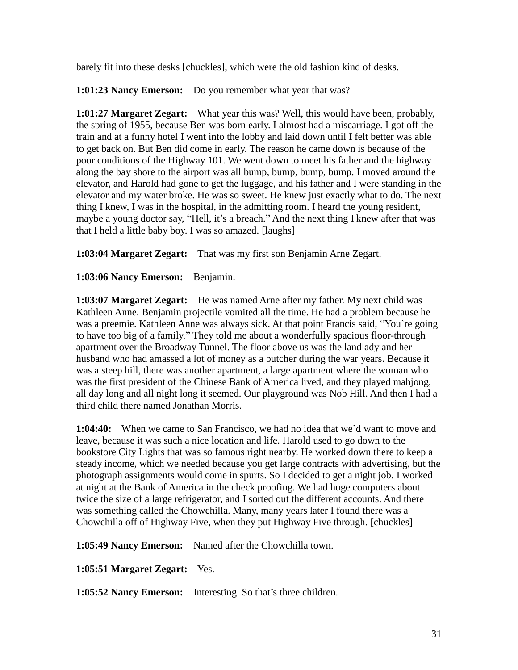barely fit into these desks [chuckles], which were the old fashion kind of desks.

**1:01:23 Nancy Emerson:** Do you remember what year that was?

**1:01:27 Margaret Zegart:** What year this was? Well, this would have been, probably, the spring of 1955, because Ben was born early. I almost had a miscarriage. I got off the train and at a funny hotel I went into the lobby and laid down until I felt better was able to get back on. But Ben did come in early. The reason he came down is because of the poor conditions of the Highway 101. We went down to meet his father and the highway along the bay shore to the airport was all bump, bump, bump, bump. I moved around the elevator, and Harold had gone to get the luggage, and his father and I were standing in the elevator and my water broke. He was so sweet. He knew just exactly what to do. The next thing I knew, I was in the hospital, in the admitting room. I heard the young resident, maybe a young doctor say, "Hell, it's a breach." And the next thing I knew after that was that I held a little baby boy. I was so amazed. [laughs]

**1:03:04 Margaret Zegart:** That was my first son Benjamin Arne Zegart.

**1:03:06 Nancy Emerson:** Benjamin.

**1:03:07 Margaret Zegart:** He was named Arne after my father. My next child was Kathleen Anne. Benjamin projectile vomited all the time. He had a problem because he was a preemie. Kathleen Anne was always sick. At that point Francis said, "You're going to have too big of a family." They told me about a wonderfully spacious floor-through apartment over the Broadway Tunnel. The floor above us was the landlady and her husband who had amassed a lot of money as a butcher during the war years. Because it was a steep hill, there was another apartment, a large apartment where the woman who was the first president of the Chinese Bank of America lived, and they played mahjong, all day long and all night long it seemed. Our playground was Nob Hill. And then I had a third child there named Jonathan Morris.

**1:04:40:** When we came to San Francisco, we had no idea that we'd want to move and leave, because it was such a nice location and life. Harold used to go down to the bookstore City Lights that was so famous right nearby. He worked down there to keep a steady income, which we needed because you get large contracts with advertising, but the photograph assignments would come in spurts. So I decided to get a night job. I worked at night at the Bank of America in the check proofing. We had huge computers about twice the size of a large refrigerator, and I sorted out the different accounts. And there was something called the Chowchilla. Many, many years later I found there was a Chowchilla off of Highway Five, when they put Highway Five through. [chuckles]

**1:05:49 Nancy Emerson:** Named after the Chowchilla town.

**1:05:51 Margaret Zegart:** Yes.

**1:05:52 Nancy Emerson:** Interesting. So that's three children.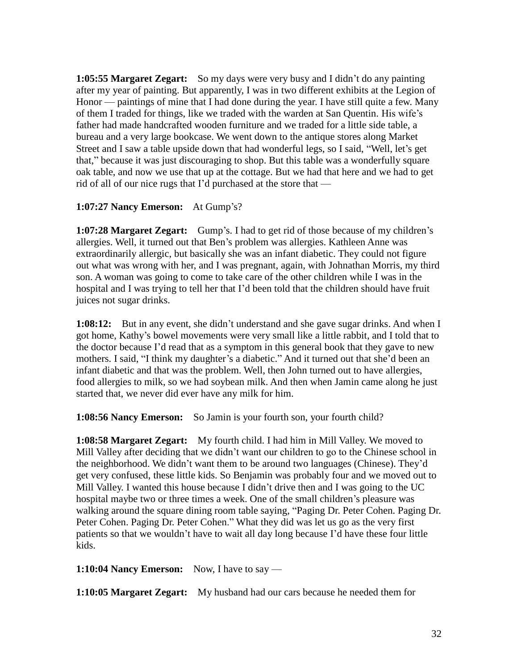**1:05:55 Margaret Zegart:** So my days were very busy and I didn't do any painting after my year of painting. But apparently, I was in two different exhibits at the Legion of Honor — paintings of mine that I had done during the year. I have still quite a few. Many of them I traded for things, like we traded with the warden at San Quentin. His wife's father had made handcrafted wooden furniture and we traded for a little side table, a bureau and a very large bookcase. We went down to the antique stores along Market Street and I saw a table upside down that had wonderful legs, so I said, "Well, let's get that," because it was just discouraging to shop. But this table was a wonderfully square oak table, and now we use that up at the cottage. But we had that here and we had to get rid of all of our nice rugs that I'd purchased at the store that —

# **1:07:27 Nancy Emerson:** At Gump's?

**1:07:28 Margaret Zegart:** Gump's. I had to get rid of those because of my children's allergies. Well, it turned out that Ben's problem was allergies. Kathleen Anne was extraordinarily allergic, but basically she was an infant diabetic. They could not figure out what was wrong with her, and I was pregnant, again, with Johnathan Morris, my third son. A woman was going to come to take care of the other children while I was in the hospital and I was trying to tell her that I'd been told that the children should have fruit juices not sugar drinks.

**1:08:12:** But in any event, she didn't understand and she gave sugar drinks. And when I got home, Kathy's bowel movements were very small like a little rabbit, and I told that to the doctor because I'd read that as a symptom in this general book that they gave to new mothers. I said, "I think my daughter's a diabetic." And it turned out that she'd been an infant diabetic and that was the problem. Well, then John turned out to have allergies, food allergies to milk, so we had soybean milk. And then when Jamin came along he just started that, we never did ever have any milk for him.

**1:08:56 Nancy Emerson:** So Jamin is your fourth son, your fourth child?

**1:08:58 Margaret Zegart:** My fourth child. I had him in Mill Valley. We moved to Mill Valley after deciding that we didn't want our children to go to the Chinese school in the neighborhood. We didn't want them to be around two languages (Chinese). They'd get very confused, these little kids. So Benjamin was probably four and we moved out to Mill Valley. I wanted this house because I didn't drive then and I was going to the UC hospital maybe two or three times a week. One of the small children's pleasure was walking around the square dining room table saying, "Paging Dr. Peter Cohen. Paging Dr. Peter Cohen. Paging Dr. Peter Cohen." What they did was let us go as the very first patients so that we wouldn't have to wait all day long because I'd have these four little kids.

**1:10:04 Nancy Emerson:** Now, I have to say —

**1:10:05 Margaret Zegart:** My husband had our cars because he needed them for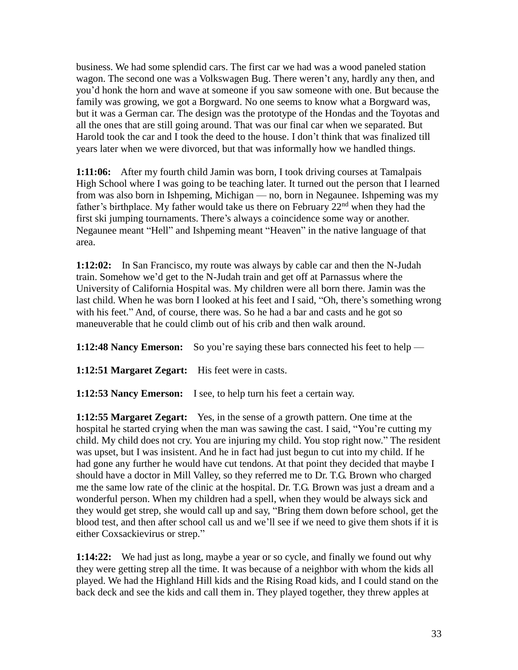business. We had some splendid cars. The first car we had was a wood paneled station wagon. The second one was a Volkswagen Bug. There weren't any, hardly any then, and you'd honk the horn and wave at someone if you saw someone with one. But because the family was growing, we got a Borgward. No one seems to know what a Borgward was, but it was a German car. The design was the prototype of the Hondas and the Toyotas and all the ones that are still going around. That was our final car when we separated. But Harold took the car and I took the deed to the house. I don't think that was finalized till years later when we were divorced, but that was informally how we handled things.

**1:11:06:** After my fourth child Jamin was born, I took driving courses at Tamalpais High School where I was going to be teaching later. It turned out the person that I learned from was also born in Ishpeming, Michigan — no, born in Negaunee. Ishpeming was my father's birthplace. My father would take us there on February  $22<sup>nd</sup>$  when they had the first ski jumping tournaments. There's always a coincidence some way or another. Negaunee meant "Hell" and Ishpeming meant "Heaven" in the native language of that area.

**1:12:02:** In San Francisco, my route was always by cable car and then the N-Judah train. Somehow we'd get to the N-Judah train and get off at Parnassus where the University of California Hospital was. My children were all born there. Jamin was the last child. When he was born I looked at his feet and I said, "Oh, there's something wrong with his feet." And, of course, there was. So he had a bar and casts and he got so maneuverable that he could climb out of his crib and then walk around.

**1:12:48 Nancy Emerson:** So you're saying these bars connected his feet to help —

**1:12:51 Margaret Zegart:** His feet were in casts.

**1:12:53 Nancy Emerson:** I see, to help turn his feet a certain way.

**1:12:55 Margaret Zegart:** Yes, in the sense of a growth pattern. One time at the hospital he started crying when the man was sawing the cast. I said, "You're cutting my child. My child does not cry. You are injuring my child. You stop right now." The resident was upset, but I was insistent. And he in fact had just begun to cut into my child. If he had gone any further he would have cut tendons. At that point they decided that maybe I should have a doctor in Mill Valley, so they referred me to Dr. T.G. Brown who charged me the same low rate of the clinic at the hospital. Dr. T.G. Brown was just a dream and a wonderful person. When my children had a spell, when they would be always sick and they would get strep, she would call up and say, "Bring them down before school, get the blood test, and then after school call us and we'll see if we need to give them shots if it is either Coxsackievirus or strep."

**1:14:22:** We had just as long, maybe a year or so cycle, and finally we found out why they were getting strep all the time. It was because of a neighbor with whom the kids all played. We had the Highland Hill kids and the Rising Road kids, and I could stand on the back deck and see the kids and call them in. They played together, they threw apples at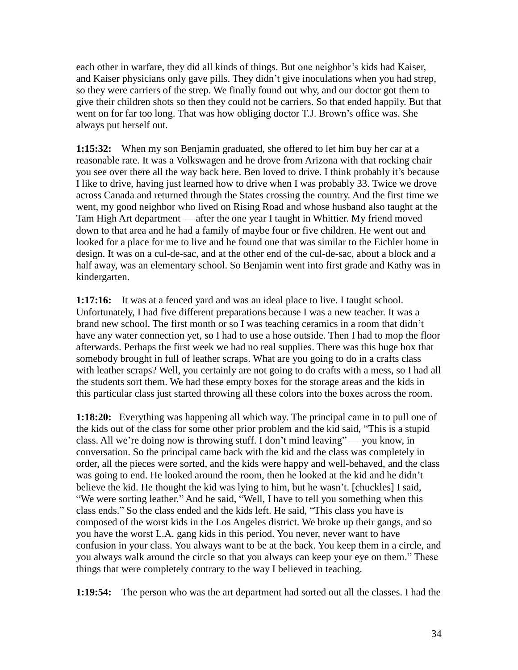each other in warfare, they did all kinds of things. But one neighbor's kids had Kaiser, and Kaiser physicians only gave pills. They didn't give inoculations when you had strep, so they were carriers of the strep. We finally found out why, and our doctor got them to give their children shots so then they could not be carriers. So that ended happily. But that went on for far too long. That was how obliging doctor T.J. Brown's office was. She always put herself out.

**1:15:32:** When my son Benjamin graduated, she offered to let him buy her car at a reasonable rate. It was a Volkswagen and he drove from Arizona with that rocking chair you see over there all the way back here. Ben loved to drive. I think probably it's because I like to drive, having just learned how to drive when I was probably 33. Twice we drove across Canada and returned through the States crossing the country. And the first time we went, my good neighbor who lived on Rising Road and whose husband also taught at the Tam High Art department — after the one year I taught in Whittier. My friend moved down to that area and he had a family of maybe four or five children. He went out and looked for a place for me to live and he found one that was similar to the Eichler home in design. It was on a cul-de-sac, and at the other end of the cul-de-sac, about a block and a half away, was an elementary school. So Benjamin went into first grade and Kathy was in kindergarten.

**1:17:16:** It was at a fenced yard and was an ideal place to live. I taught school. Unfortunately, I had five different preparations because I was a new teacher. It was a brand new school. The first month or so I was teaching ceramics in a room that didn't have any water connection yet, so I had to use a hose outside. Then I had to mop the floor afterwards. Perhaps the first week we had no real supplies. There was this huge box that somebody brought in full of leather scraps. What are you going to do in a crafts class with leather scraps? Well, you certainly are not going to do crafts with a mess, so I had all the students sort them. We had these empty boxes for the storage areas and the kids in this particular class just started throwing all these colors into the boxes across the room.

**1:18:20:** Everything was happening all which way. The principal came in to pull one of the kids out of the class for some other prior problem and the kid said, "This is a stupid class. All we're doing now is throwing stuff. I don't mind leaving" — you know, in conversation. So the principal came back with the kid and the class was completely in order, all the pieces were sorted, and the kids were happy and well-behaved, and the class was going to end. He looked around the room, then he looked at the kid and he didn't believe the kid. He thought the kid was lying to him, but he wasn't. [chuckles] I said, "We were sorting leather." And he said, "Well, I have to tell you something when this class ends." So the class ended and the kids left. He said, "This class you have is composed of the worst kids in the Los Angeles district. We broke up their gangs, and so you have the worst L.A. gang kids in this period. You never, never want to have confusion in your class. You always want to be at the back. You keep them in a circle, and you always walk around the circle so that you always can keep your eye on them." These things that were completely contrary to the way I believed in teaching.

**1:19:54:** The person who was the art department had sorted out all the classes. I had the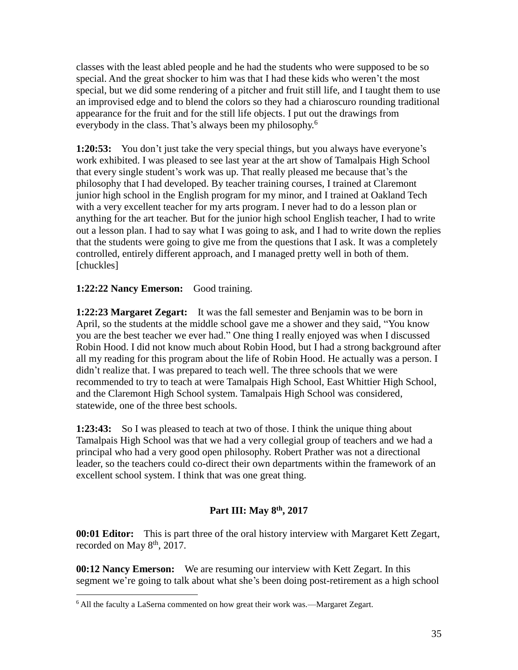classes with the least abled people and he had the students who were supposed to be so special. And the great shocker to him was that I had these kids who weren't the most special, but we did some rendering of a pitcher and fruit still life, and I taught them to use an improvised edge and to blend the colors so they had a chiaroscuro rounding traditional appearance for the fruit and for the still life objects. I put out the drawings from everybody in the class. That's always been my philosophy.<sup>6</sup>

**1:20:53:** You don't just take the very special things, but you always have everyone's work exhibited. I was pleased to see last year at the art show of Tamalpais High School that every single student's work was up. That really pleased me because that's the philosophy that I had developed. By teacher training courses, I trained at Claremont junior high school in the English program for my minor, and I trained at Oakland Tech with a very excellent teacher for my arts program. I never had to do a lesson plan or anything for the art teacher. But for the junior high school English teacher, I had to write out a lesson plan. I had to say what I was going to ask, and I had to write down the replies that the students were going to give me from the questions that I ask. It was a completely controlled, entirely different approach, and I managed pretty well in both of them. [chuckles]

# **1:22:22 Nancy Emerson:** Good training.

 $\overline{a}$ 

**1:22:23 Margaret Zegart:** It was the fall semester and Benjamin was to be born in April, so the students at the middle school gave me a shower and they said, "You know you are the best teacher we ever had." One thing I really enjoyed was when I discussed Robin Hood. I did not know much about Robin Hood, but I had a strong background after all my reading for this program about the life of Robin Hood. He actually was a person. I didn't realize that. I was prepared to teach well. The three schools that we were recommended to try to teach at were Tamalpais High School, East Whittier High School, and the Claremont High School system. Tamalpais High School was considered, statewide, one of the three best schools.

**1:23:43:** So I was pleased to teach at two of those. I think the unique thing about Tamalpais High School was that we had a very collegial group of teachers and we had a principal who had a very good open philosophy. Robert Prather was not a directional leader, so the teachers could co-direct their own departments within the framework of an excellent school system. I think that was one great thing.

# **Part III: May 8th, 2017**

**00:01 Editor:** This is part three of the oral history interview with Margaret Kett Zegart, recorded on May  $8<sup>th</sup>$ , 2017.

**00:12 Nancy Emerson:** We are resuming our interview with Kett Zegart. In this segment we're going to talk about what she's been doing post-retirement as a high school

<sup>6</sup> All the faculty a LaSerna commented on how great their work was.—Margaret Zegart.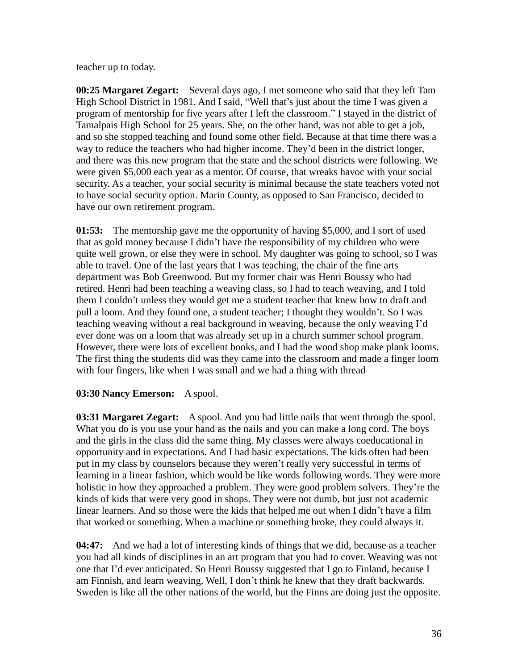teacher up to today.

**00:25 Margaret Zegart:** Several days ago, I met someone who said that they left Tam High School District in 1981. And I said, "Well that's just about the time I was given a program of mentorship for five years after I left the classroom." I stayed in the district of Tamalpais High School for 25 years. She, on the other hand, was not able to get a job, and so she stopped teaching and found some other field. Because at that time there was a way to reduce the teachers who had higher income. They'd been in the district longer, and there was this new program that the state and the school districts were following. We were given \$5,000 each year as a mentor. Of course, that wreaks havoc with your social security. As a teacher, your social security is minimal because the state teachers voted not to have social security option. Marin County, as opposed to San Francisco, decided to have our own retirement program.

**01:53:** The mentorship gave me the opportunity of having \$5,000, and I sort of used that as gold money because I didn't have the responsibility of my children who were quite well grown, or else they were in school. My daughter was going to school, so I was able to travel. One of the last years that I was teaching, the chair of the fine arts department was Bob Greenwood. But my former chair was Henri Boussy who had retired. Henri had been teaching a weaving class, so I had to teach weaving, and I told them I couldn't unless they would get me a student teacher that knew how to draft and pull a loom. And they found one, a student teacher; I thought they wouldn't. So I was teaching weaving without a real background in weaving, because the only weaving I'd ever done was on a loom that was already set up in a church summer school program. However, there were lots of excellent books, and I had the wood shop make plank looms. The first thing the students did was they came into the classroom and made a finger loom with four fingers, like when I was small and we had a thing with thread —

# **03:30 Nancy Emerson:** A spool.

**03:31 Margaret Zegart:** A spool. And you had little nails that went through the spool. What you do is you use your hand as the nails and you can make a long cord. The boys and the girls in the class did the same thing. My classes were always coeducational in opportunity and in expectations. And I had basic expectations. The kids often had been put in my class by counselors because they weren't really very successful in terms of learning in a linear fashion, which would be like words following words. They were more holistic in how they approached a problem. They were good problem solvers. They're the kinds of kids that were very good in shops. They were not dumb, but just not academic linear learners. And so those were the kids that helped me out when I didn't have a film that worked or something. When a machine or something broke, they could always it.

**04:47:** And we had a lot of interesting kinds of things that we did, because as a teacher you had all kinds of disciplines in an art program that you had to cover. Weaving was not one that I'd ever anticipated. So Henri Boussy suggested that I go to Finland, because I am Finnish, and learn weaving. Well, I don't think he knew that they draft backwards. Sweden is like all the other nations of the world, but the Finns are doing just the opposite.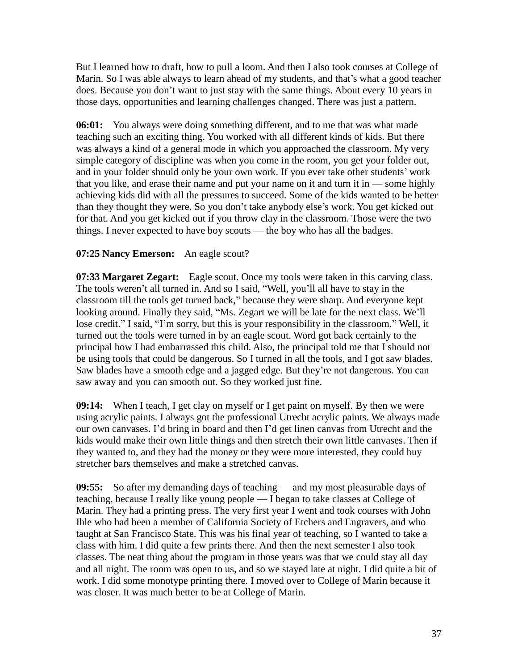But I learned how to draft, how to pull a loom. And then I also took courses at College of Marin. So I was able always to learn ahead of my students, and that's what a good teacher does. Because you don't want to just stay with the same things. About every 10 years in those days, opportunities and learning challenges changed. There was just a pattern.

**06:01:** You always were doing something different, and to me that was what made teaching such an exciting thing. You worked with all different kinds of kids. But there was always a kind of a general mode in which you approached the classroom. My very simple category of discipline was when you come in the room, you get your folder out, and in your folder should only be your own work. If you ever take other students' work that you like, and erase their name and put your name on it and turn it in  $\sim$  some highly achieving kids did with all the pressures to succeed. Some of the kids wanted to be better than they thought they were. So you don't take anybody else's work. You get kicked out for that. And you get kicked out if you throw clay in the classroom. Those were the two things. I never expected to have boy scouts — the boy who has all the badges.

# **07:25 Nancy Emerson:** An eagle scout?

**07:33 Margaret Zegart:** Eagle scout. Once my tools were taken in this carving class. The tools weren't all turned in. And so I said, "Well, you'll all have to stay in the classroom till the tools get turned back," because they were sharp. And everyone kept looking around. Finally they said, "Ms. Zegart we will be late for the next class. We'll lose credit." I said, "I'm sorry, but this is your responsibility in the classroom." Well, it turned out the tools were turned in by an eagle scout. Word got back certainly to the principal how I had embarrassed this child. Also, the principal told me that I should not be using tools that could be dangerous. So I turned in all the tools, and I got saw blades. Saw blades have a smooth edge and a jagged edge. But they're not dangerous. You can saw away and you can smooth out. So they worked just fine.

**09:14:** When I teach, I get clay on myself or I get paint on myself. By then we were using acrylic paints. I always got the professional Utrecht acrylic paints. We always made our own canvases. I'd bring in board and then I'd get linen canvas from Utrecht and the kids would make their own little things and then stretch their own little canvases. Then if they wanted to, and they had the money or they were more interested, they could buy stretcher bars themselves and make a stretched canvas.

**09:55:** So after my demanding days of teaching — and my most pleasurable days of teaching, because I really like young people — I began to take classes at College of Marin. They had a printing press. The very first year I went and took courses with John Ihle who had been a member of California Society of Etchers and Engravers, and who taught at San Francisco State. This was his final year of teaching, so I wanted to take a class with him. I did quite a few prints there. And then the next semester I also took classes. The neat thing about the program in those years was that we could stay all day and all night. The room was open to us, and so we stayed late at night. I did quite a bit of work. I did some monotype printing there. I moved over to College of Marin because it was closer. It was much better to be at College of Marin.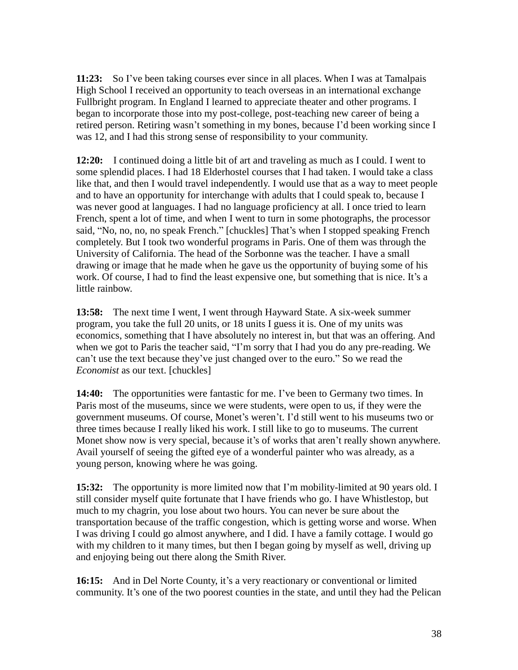**11:23:** So I've been taking courses ever since in all places. When I was at Tamalpais High School I received an opportunity to teach overseas in an international exchange Fullbright program. In England I learned to appreciate theater and other programs. I began to incorporate those into my post-college, post-teaching new career of being a retired person. Retiring wasn't something in my bones, because I'd been working since I was 12, and I had this strong sense of responsibility to your community.

**12:20:** I continued doing a little bit of art and traveling as much as I could. I went to some splendid places. I had 18 Elderhostel courses that I had taken. I would take a class like that, and then I would travel independently. I would use that as a way to meet people and to have an opportunity for interchange with adults that I could speak to, because I was never good at languages. I had no language proficiency at all. I once tried to learn French, spent a lot of time, and when I went to turn in some photographs, the processor said, "No, no, no, no speak French." [chuckles] That's when I stopped speaking French completely. But I took two wonderful programs in Paris. One of them was through the University of California. The head of the Sorbonne was the teacher. I have a small drawing or image that he made when he gave us the opportunity of buying some of his work. Of course, I had to find the least expensive one, but something that is nice. It's a little rainbow.

**13:58:** The next time I went, I went through Hayward State. A six-week summer program, you take the full 20 units, or 18 units I guess it is. One of my units was economics, something that I have absolutely no interest in, but that was an offering. And when we got to Paris the teacher said, "I'm sorry that I had you do any pre-reading. We can't use the text because they've just changed over to the euro." So we read the *Economist* as our text. [chuckles]

**14:40:** The opportunities were fantastic for me. I've been to Germany two times. In Paris most of the museums, since we were students, were open to us, if they were the government museums. Of course, Monet's weren't. I'd still went to his museums two or three times because I really liked his work. I still like to go to museums. The current Monet show now is very special, because it's of works that aren't really shown anywhere. Avail yourself of seeing the gifted eye of a wonderful painter who was already, as a young person, knowing where he was going.

**15:32:** The opportunity is more limited now that I'm mobility-limited at 90 years old. I still consider myself quite fortunate that I have friends who go. I have Whistlestop, but much to my chagrin, you lose about two hours. You can never be sure about the transportation because of the traffic congestion, which is getting worse and worse. When I was driving I could go almost anywhere, and I did. I have a family cottage. I would go with my children to it many times, but then I began going by myself as well, driving up and enjoying being out there along the Smith River.

**16:15:** And in Del Norte County, it's a very reactionary or conventional or limited community. It's one of the two poorest counties in the state, and until they had the Pelican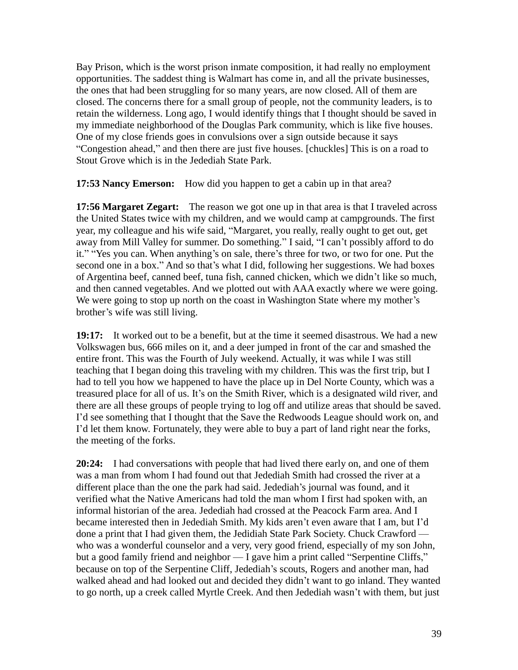Bay Prison, which is the worst prison inmate composition, it had really no employment opportunities. The saddest thing is Walmart has come in, and all the private businesses, the ones that had been struggling for so many years, are now closed. All of them are closed. The concerns there for a small group of people, not the community leaders, is to retain the wilderness. Long ago, I would identify things that I thought should be saved in my immediate neighborhood of the Douglas Park community, which is like five houses. One of my close friends goes in convulsions over a sign outside because it says "Congestion ahead," and then there are just five houses. [chuckles] This is on a road to Stout Grove which is in the Jedediah State Park.

**17:53 Nancy Emerson:** How did you happen to get a cabin up in that area?

**17:56 Margaret Zegart:** The reason we got one up in that area is that I traveled across the United States twice with my children, and we would camp at campgrounds. The first year, my colleague and his wife said, "Margaret, you really, really ought to get out, get away from Mill Valley for summer. Do something." I said, "I can't possibly afford to do it." "Yes you can. When anything's on sale, there's three for two, or two for one. Put the second one in a box." And so that's what I did, following her suggestions. We had boxes of Argentina beef, canned beef, tuna fish, canned chicken, which we didn't like so much, and then canned vegetables. And we plotted out with AAA exactly where we were going. We were going to stop up north on the coast in Washington State where my mother's brother's wife was still living.

**19:17:** It worked out to be a benefit, but at the time it seemed disastrous. We had a new Volkswagen bus, 666 miles on it, and a deer jumped in front of the car and smashed the entire front. This was the Fourth of July weekend. Actually, it was while I was still teaching that I began doing this traveling with my children. This was the first trip, but I had to tell you how we happened to have the place up in Del Norte County, which was a treasured place for all of us. It's on the Smith River, which is a designated wild river, and there are all these groups of people trying to log off and utilize areas that should be saved. I'd see something that I thought that the Save the Redwoods League should work on, and I'd let them know. Fortunately, they were able to buy a part of land right near the forks, the meeting of the forks.

**20:24:** I had conversations with people that had lived there early on, and one of them was a man from whom I had found out that Jedediah Smith had crossed the river at a different place than the one the park had said. Jedediah's journal was found, and it verified what the Native Americans had told the man whom I first had spoken with, an informal historian of the area. Jedediah had crossed at the Peacock Farm area. And I became interested then in Jedediah Smith. My kids aren't even aware that I am, but I'd done a print that I had given them, the Jedidiah State Park Society. Chuck Crawford who was a wonderful counselor and a very, very good friend, especially of my son John, but a good family friend and neighbor — I gave him a print called "Serpentine Cliffs," because on top of the Serpentine Cliff, Jedediah's scouts, Rogers and another man, had walked ahead and had looked out and decided they didn't want to go inland. They wanted to go north, up a creek called Myrtle Creek. And then Jedediah wasn't with them, but just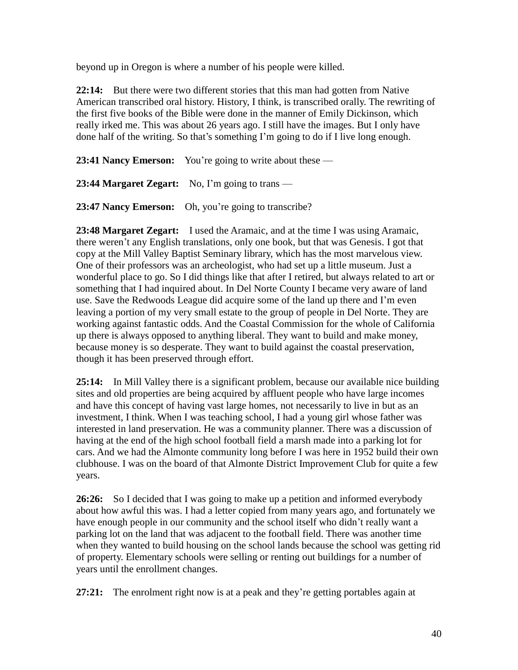beyond up in Oregon is where a number of his people were killed.

**22:14:** But there were two different stories that this man had gotten from Native American transcribed oral history. History, I think, is transcribed orally. The rewriting of the first five books of the Bible were done in the manner of Emily Dickinson, which really irked me. This was about 26 years ago. I still have the images. But I only have done half of the writing. So that's something I'm going to do if I live long enough.

**23:41 Nancy Emerson:** You're going to write about these —

**23:44 Margaret Zegart:** No, I'm going to trans —

**23:47 Nancy Emerson:** Oh, you're going to transcribe?

**23:48 Margaret Zegart:** I used the Aramaic, and at the time I was using Aramaic, there weren't any English translations, only one book, but that was Genesis. I got that copy at the Mill Valley Baptist Seminary library, which has the most marvelous view. One of their professors was an archeologist, who had set up a little museum. Just a wonderful place to go. So I did things like that after I retired, but always related to art or something that I had inquired about. In Del Norte County I became very aware of land use. Save the Redwoods League did acquire some of the land up there and I'm even leaving a portion of my very small estate to the group of people in Del Norte. They are working against fantastic odds. And the Coastal Commission for the whole of California up there is always opposed to anything liberal. They want to build and make money, because money is so desperate. They want to build against the coastal preservation, though it has been preserved through effort.

**25:14:** In Mill Valley there is a significant problem, because our available nice building sites and old properties are being acquired by affluent people who have large incomes and have this concept of having vast large homes, not necessarily to live in but as an investment, I think. When I was teaching school, I had a young girl whose father was interested in land preservation. He was a community planner. There was a discussion of having at the end of the high school football field a marsh made into a parking lot for cars. And we had the Almonte community long before I was here in 1952 build their own clubhouse. I was on the board of that Almonte District Improvement Club for quite a few years.

**26:26:** So I decided that I was going to make up a petition and informed everybody about how awful this was. I had a letter copied from many years ago, and fortunately we have enough people in our community and the school itself who didn't really want a parking lot on the land that was adjacent to the football field. There was another time when they wanted to build housing on the school lands because the school was getting rid of property. Elementary schools were selling or renting out buildings for a number of years until the enrollment changes.

**27:21:** The enrolment right now is at a peak and they're getting portables again at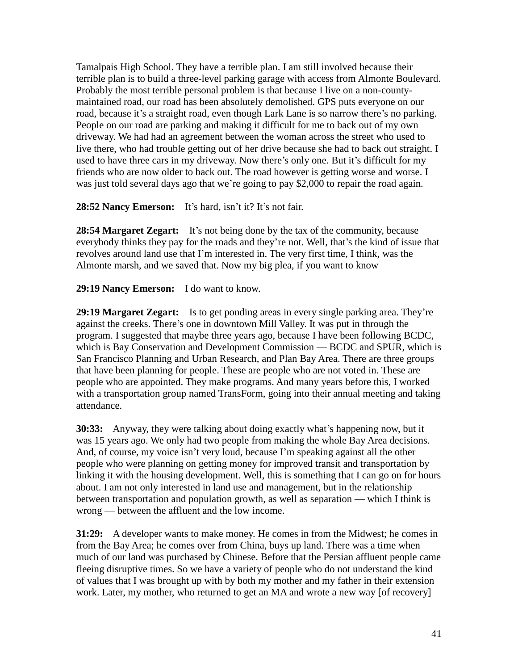Tamalpais High School. They have a terrible plan. I am still involved because their terrible plan is to build a three-level parking garage with access from Almonte Boulevard. Probably the most terrible personal problem is that because I live on a non-countymaintained road, our road has been absolutely demolished. GPS puts everyone on our road, because it's a straight road, even though Lark Lane is so narrow there's no parking. People on our road are parking and making it difficult for me to back out of my own driveway. We had had an agreement between the woman across the street who used to live there, who had trouble getting out of her drive because she had to back out straight. I used to have three cars in my driveway. Now there's only one. But it's difficult for my friends who are now older to back out. The road however is getting worse and worse. I was just told several days ago that we're going to pay \$2,000 to repair the road again.

# **28:52 Nancy Emerson:** It's hard, isn't it? It's not fair.

**28:54 Margaret Zegart:** It's not being done by the tax of the community, because everybody thinks they pay for the roads and they're not. Well, that's the kind of issue that revolves around land use that I'm interested in. The very first time, I think, was the Almonte marsh, and we saved that. Now my big plea, if you want to know —

# **29:19 Nancy Emerson:** I do want to know.

**29:19 Margaret Zegart:** Is to get ponding areas in every single parking area. They're against the creeks. There's one in downtown Mill Valley. It was put in through the program. I suggested that maybe three years ago, because I have been following BCDC, which is Bay Conservation and Development Commission — BCDC and SPUR, which is San Francisco Planning and Urban Research, and Plan Bay Area. There are three groups that have been planning for people. These are people who are not voted in. These are people who are appointed. They make programs. And many years before this, I worked with a transportation group named TransForm, going into their annual meeting and taking attendance.

**30:33:** Anyway, they were talking about doing exactly what's happening now, but it was 15 years ago. We only had two people from making the whole Bay Area decisions. And, of course, my voice isn't very loud, because I'm speaking against all the other people who were planning on getting money for improved transit and transportation by linking it with the housing development. Well, this is something that I can go on for hours about. I am not only interested in land use and management, but in the relationship between transportation and population growth, as well as separation — which I think is wrong — between the affluent and the low income.

**31:29:** A developer wants to make money. He comes in from the Midwest; he comes in from the Bay Area; he comes over from China, buys up land. There was a time when much of our land was purchased by Chinese. Before that the Persian affluent people came fleeing disruptive times. So we have a variety of people who do not understand the kind of values that I was brought up with by both my mother and my father in their extension work. Later, my mother, who returned to get an MA and wrote a new way [of recovery]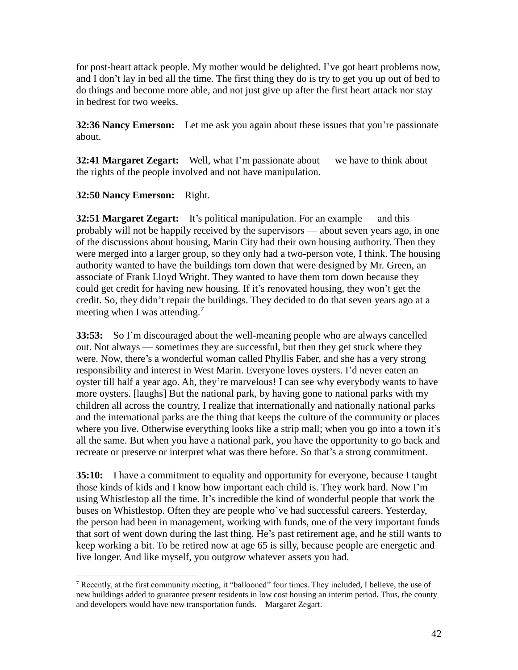for post-heart attack people. My mother would be delighted. I've got heart problems now, and I don't lay in bed all the time. The first thing they do is try to get you up out of bed to do things and become more able, and not just give up after the first heart attack nor stay in bedrest for two weeks.

**32:36 Nancy Emerson:** Let me ask you again about these issues that you're passionate about.

**32:41 Margaret Zegart:** Well, what I'm passionate about — we have to think about the rights of the people involved and not have manipulation.

# **32:50 Nancy Emerson:** Right.

 $\overline{a}$ 

**32:51 Margaret Zegart:** It's political manipulation. For an example — and this probably will not be happily received by the supervisors — about seven years ago, in one of the discussions about housing, Marin City had their own housing authority. Then they were merged into a larger group, so they only had a two-person vote, I think. The housing authority wanted to have the buildings torn down that were designed by Mr. Green, an associate of Frank Lloyd Wright. They wanted to have them torn down because they could get credit for having new housing. If it's renovated housing, they won't get the credit. So, they didn't repair the buildings. They decided to do that seven years ago at a meeting when I was attending.<sup>7</sup>

**33:53:** So I'm discouraged about the well-meaning people who are always cancelled out. Not always — sometimes they are successful, but then they get stuck where they were. Now, there's a wonderful woman called Phyllis Faber, and she has a very strong responsibility and interest in West Marin. Everyone loves oysters. I'd never eaten an oyster till half a year ago. Ah, they're marvelous! I can see why everybody wants to have more oysters. [laughs] But the national park, by having gone to national parks with my children all across the country, I realize that internationally and nationally national parks and the international parks are the thing that keeps the culture of the community or places where you live. Otherwise everything looks like a strip mall; when you go into a town it's all the same. But when you have a national park, you have the opportunity to go back and recreate or preserve or interpret what was there before. So that's a strong commitment.

**35:10:** I have a commitment to equality and opportunity for everyone, because I taught those kinds of kids and I know how important each child is. They work hard. Now I'm using Whistlestop all the time. It's incredible the kind of wonderful people that work the buses on Whistlestop. Often they are people who've had successful careers. Yesterday, the person had been in management, working with funds, one of the very important funds that sort of went down during the last thing. He's past retirement age, and he still wants to keep working a bit. To be retired now at age 65 is silly, because people are energetic and live longer. And like myself, you outgrow whatever assets you had.

<sup>&</sup>lt;sup>7</sup> Recently, at the first community meeting, it "ballooned" four times. They included, I believe, the use of new buildings added to guarantee present residents in low cost housing an interim period. Thus, the county and developers would have new transportation funds.—Margaret Zegart.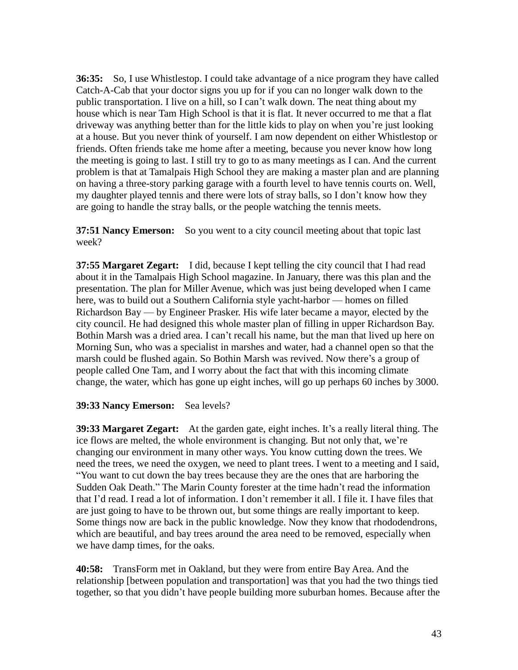**36:35:** So, I use Whistlestop. I could take advantage of a nice program they have called Catch-A-Cab that your doctor signs you up for if you can no longer walk down to the public transportation. I live on a hill, so I can't walk down. The neat thing about my house which is near Tam High School is that it is flat. It never occurred to me that a flat driveway was anything better than for the little kids to play on when you're just looking at a house. But you never think of yourself. I am now dependent on either Whistlestop or friends. Often friends take me home after a meeting, because you never know how long the meeting is going to last. I still try to go to as many meetings as I can. And the current problem is that at Tamalpais High School they are making a master plan and are planning on having a three-story parking garage with a fourth level to have tennis courts on. Well, my daughter played tennis and there were lots of stray balls, so I don't know how they are going to handle the stray balls, or the people watching the tennis meets.

**37:51 Nancy Emerson:** So you went to a city council meeting about that topic last week?

**37:55 Margaret Zegart:** I did, because I kept telling the city council that I had read about it in the Tamalpais High School magazine. In January, there was this plan and the presentation. The plan for Miller Avenue, which was just being developed when I came here, was to build out a Southern California style yacht-harbor — homes on filled Richardson Bay — by Engineer Prasker. His wife later became a mayor, elected by the city council. He had designed this whole master plan of filling in upper Richardson Bay. Bothin Marsh was a dried area. I can't recall his name, but the man that lived up here on Morning Sun, who was a specialist in marshes and water, had a channel open so that the marsh could be flushed again. So Bothin Marsh was revived. Now there's a group of people called One Tam, and I worry about the fact that with this incoming climate change, the water, which has gone up eight inches, will go up perhaps 60 inches by 3000.

#### **39:33 Nancy Emerson:** Sea levels?

**39:33 Margaret Zegart:** At the garden gate, eight inches. It's a really literal thing. The ice flows are melted, the whole environment is changing. But not only that, we're changing our environment in many other ways. You know cutting down the trees. We need the trees, we need the oxygen, we need to plant trees. I went to a meeting and I said, "You want to cut down the bay trees because they are the ones that are harboring the Sudden Oak Death." The Marin County forester at the time hadn't read the information that I'd read. I read a lot of information. I don't remember it all. I file it. I have files that are just going to have to be thrown out, but some things are really important to keep. Some things now are back in the public knowledge. Now they know that rhododendrons, which are beautiful, and bay trees around the area need to be removed, especially when we have damp times, for the oaks.

**40:58:** TransForm met in Oakland, but they were from entire Bay Area. And the relationship [between population and transportation] was that you had the two things tied together, so that you didn't have people building more suburban homes. Because after the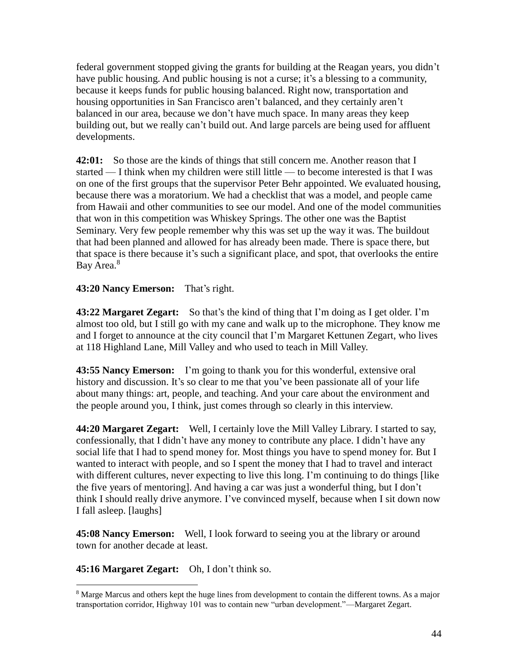federal government stopped giving the grants for building at the Reagan years, you didn't have public housing. And public housing is not a curse; it's a blessing to a community, because it keeps funds for public housing balanced. Right now, transportation and housing opportunities in San Francisco aren't balanced, and they certainly aren't balanced in our area, because we don't have much space. In many areas they keep building out, but we really can't build out. And large parcels are being used for affluent developments.

**42:01:** So those are the kinds of things that still concern me. Another reason that I started — I think when my children were still little — to become interested is that I was on one of the first groups that the supervisor Peter Behr appointed. We evaluated housing, because there was a moratorium. We had a checklist that was a model, and people came from Hawaii and other communities to see our model. And one of the model communities that won in this competition was Whiskey Springs. The other one was the Baptist Seminary. Very few people remember why this was set up the way it was. The buildout that had been planned and allowed for has already been made. There is space there, but that space is there because it's such a significant place, and spot, that overlooks the entire Bay Area.<sup>8</sup>

# **43:20 Nancy Emerson:** That's right.

**43:22 Margaret Zegart:** So that's the kind of thing that I'm doing as I get older. I'm almost too old, but I still go with my cane and walk up to the microphone. They know me and I forget to announce at the city council that I'm Margaret Kettunen Zegart, who lives at 118 Highland Lane, Mill Valley and who used to teach in Mill Valley.

**43:55 Nancy Emerson:** I'm going to thank you for this wonderful, extensive oral history and discussion. It's so clear to me that you've been passionate all of your life about many things: art, people, and teaching. And your care about the environment and the people around you, I think, just comes through so clearly in this interview.

**44:20 Margaret Zegart:** Well, I certainly love the Mill Valley Library. I started to say, confessionally, that I didn't have any money to contribute any place. I didn't have any social life that I had to spend money for. Most things you have to spend money for. But I wanted to interact with people, and so I spent the money that I had to travel and interact with different cultures, never expecting to live this long. I'm continuing to do things [like the five years of mentoring]. And having a car was just a wonderful thing, but I don't think I should really drive anymore. I've convinced myself, because when I sit down now I fall asleep. [laughs]

**45:08 Nancy Emerson:** Well, I look forward to seeing you at the library or around town for another decade at least.

**45:16 Margaret Zegart:** Oh, I don't think so.

 $\overline{a}$ 

<sup>&</sup>lt;sup>8</sup> Marge Marcus and others kept the huge lines from development to contain the different towns. As a major transportation corridor, Highway 101 was to contain new "urban development."—Margaret Zegart.